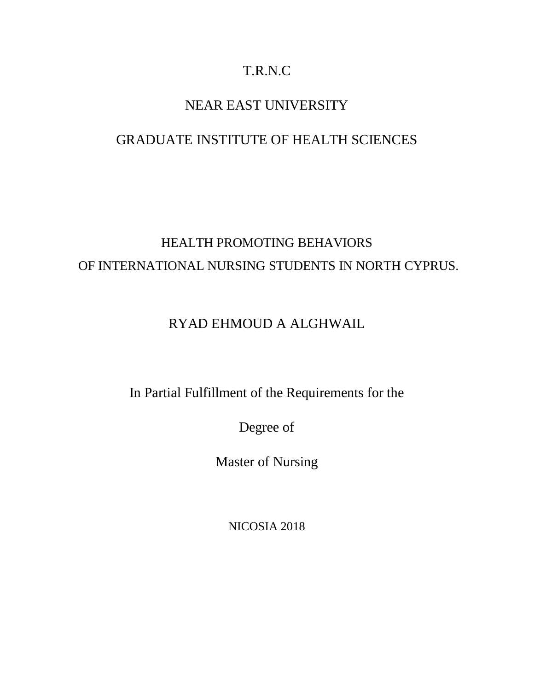# T.R.N.C

# NEAR EAST UNIVERSITY

# GRADUATE INSTITUTE OF HEALTH SCIENCES

# HEALTH PROMOTING BEHAVIORS OF INTERNATIONAL NURSING STUDENTS IN NORTH CYPRUS.

# RYAD EHMOUD A ALGHWAIL

In Partial Fulfillment of the Requirements for the

Degree of

Master of Nursing

NICOSIA 2018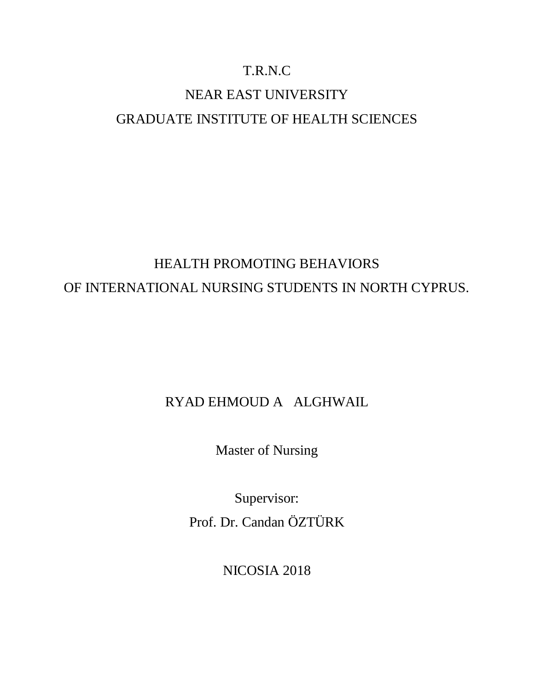# T.R.N.C

# NEAR EAST UNIVERSITY GRADUATE INSTITUTE OF HEALTH SCIENCES

# HEALTH PROMOTING BEHAVIORS OF INTERNATIONAL NURSING STUDENTS IN NORTH CYPRUS.

# RYAD EHMOUD A ALGHWAIL

Master of Nursing

Supervisor: Prof. Dr. Candan ÖZTÜRK

NICOSIA 2018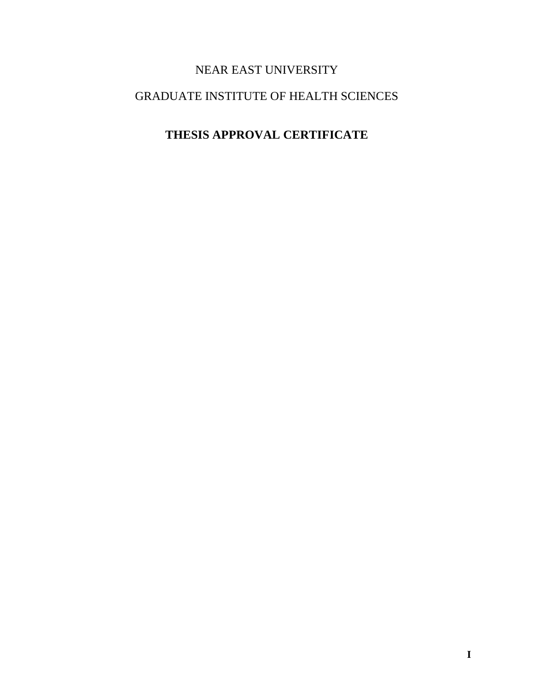# NEAR EAST UNIVERSITY

# <span id="page-2-0"></span>GRADUATE INSTITUTE OF HEALTH SCIENCES

# **THESIS APPROVAL CERTIFICATE**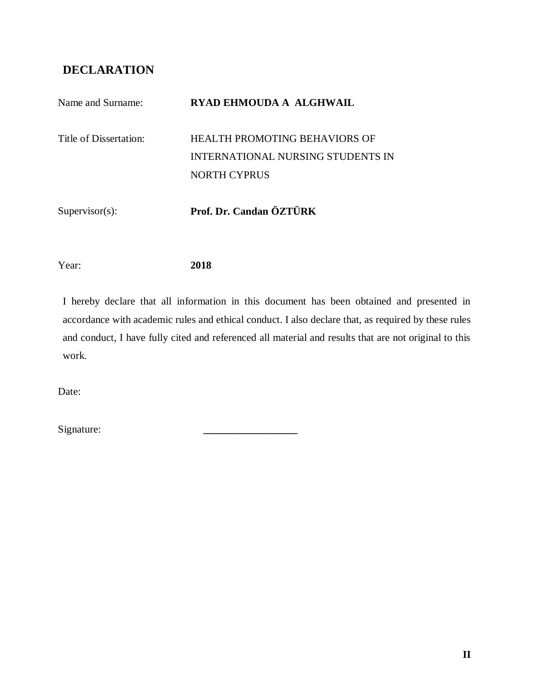# <span id="page-3-0"></span>**DECLARATION**

| Name and Surname:      | RYAD EHMOUDA A ALGHWAIL                                                   |
|------------------------|---------------------------------------------------------------------------|
| Title of Dissertation: | HEALTH PROMOTING BEHAVIORS OF<br><b>INTERNATIONAL NURSING STUDENTS IN</b> |
|                        | <b>NORTH CYPRUS</b>                                                       |
| $Supervisor(s)$ :      | Prof. Dr. Candan ÖZTÜRK                                                   |

Year: **2018**

I hereby declare that all information in this document has been obtained and presented in accordance with academic rules and ethical conduct. I also declare that, as required by these rules and conduct, I have fully cited and referenced all material and results that are not original to this work.

Date:

Signature: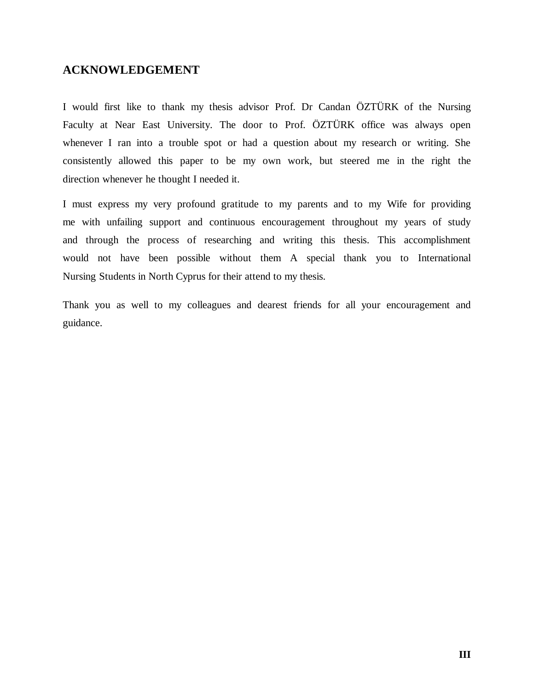# <span id="page-4-0"></span>**ACKNOWLEDGEMENT**

I would first like to thank my thesis advisor Prof. Dr Candan ÖZTÜRK of the Nursing Faculty at Near East University. The door to Prof. ÖZTÜRK office was always open whenever I ran into a trouble spot or had a question about my research or writing. She consistently allowed this paper to be my own work, but steered me in the right the direction whenever he thought I needed it.

I must express my very profound gratitude to my parents and to my Wife for providing me with unfailing support and continuous encouragement throughout my years of study and through the process of researching and writing this thesis. This accomplishment would not have been possible without them A special thank you to International Nursing Students in North Cyprus for their attend to my thesis.

Thank you as well to my colleagues and dearest friends for all your encouragement and guidance.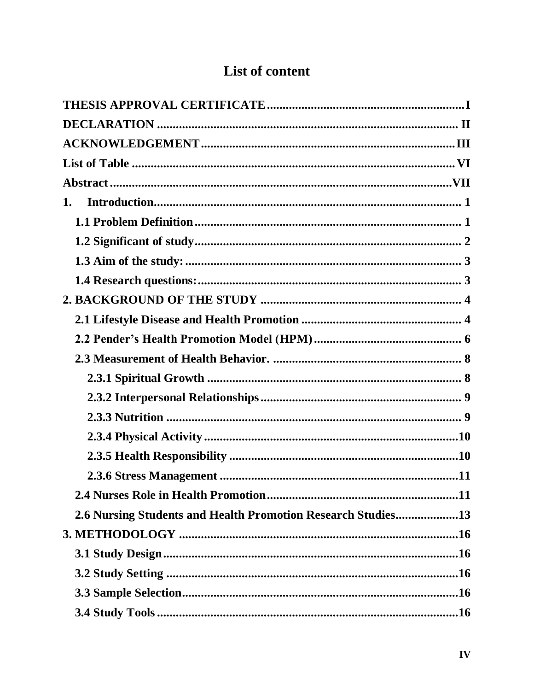| 1.                                                           |
|--------------------------------------------------------------|
|                                                              |
|                                                              |
|                                                              |
|                                                              |
|                                                              |
|                                                              |
|                                                              |
|                                                              |
|                                                              |
|                                                              |
|                                                              |
|                                                              |
|                                                              |
|                                                              |
|                                                              |
| 2.6 Nursing Students and Health Promotion Research Studies13 |
|                                                              |
|                                                              |
|                                                              |
|                                                              |
|                                                              |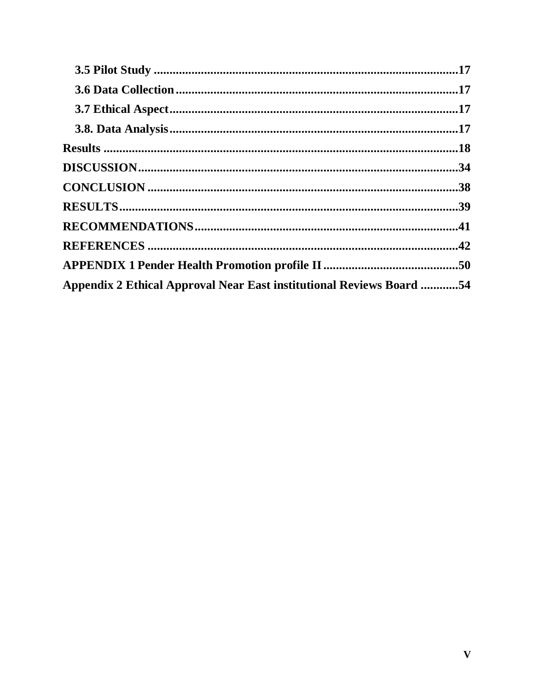| Appendix 2 Ethical Approval Near East institutional Reviews Board 54 |  |
|----------------------------------------------------------------------|--|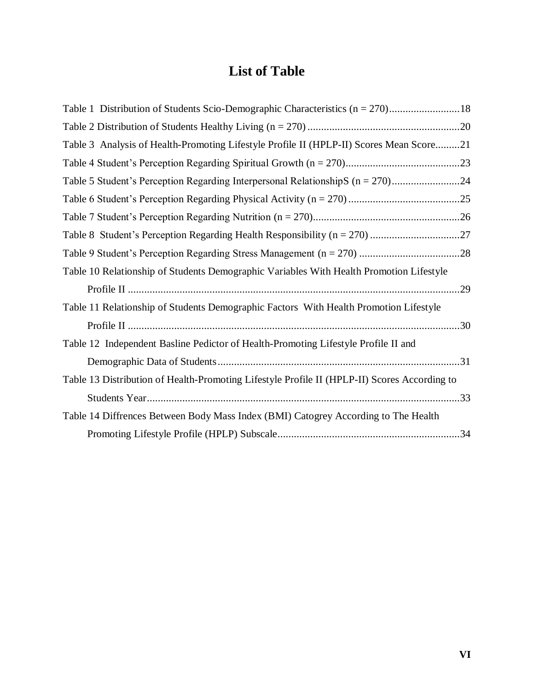# **List of Table**

<span id="page-7-0"></span>

| Table 3 Analysis of Health-Promoting Lifestyle Profile II (HPLP-II) Scores Mean Score21      |  |
|----------------------------------------------------------------------------------------------|--|
|                                                                                              |  |
|                                                                                              |  |
|                                                                                              |  |
|                                                                                              |  |
|                                                                                              |  |
|                                                                                              |  |
| Table 10 Relationship of Students Demographic Variables With Health Promotion Lifestyle      |  |
|                                                                                              |  |
| Table 11 Relationship of Students Demographic Factors With Health Promotion Lifestyle        |  |
|                                                                                              |  |
| Table 12 Independent Basline Pedictor of Health-Promoting Lifestyle Profile II and           |  |
|                                                                                              |  |
| Table 13 Distribution of Health-Promoting Lifestyle Profile II (HPLP-II) Scores According to |  |
|                                                                                              |  |
| Table 14 Diffrences Between Body Mass Index (BMI) Catogrey According to The Health           |  |
|                                                                                              |  |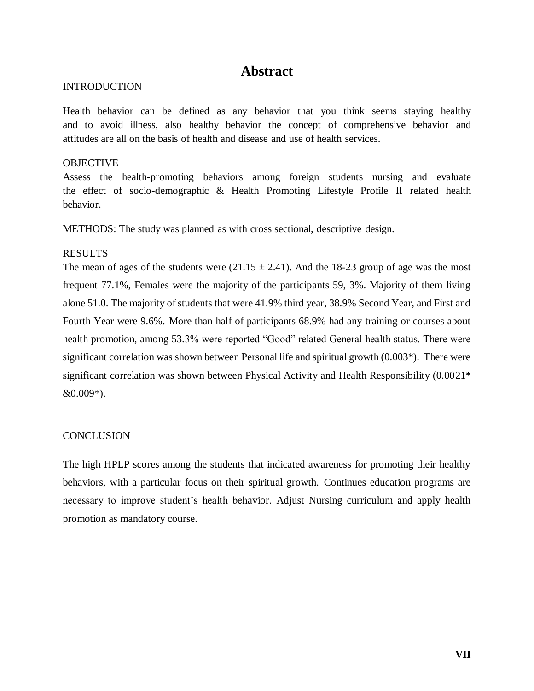# **Abstract**

### <span id="page-8-0"></span>**INTRODUCTION**

Health behavior can be defined as any behavior that you think seems staying healthy and to avoid illness, also healthy behavior the concept of comprehensive behavior and attitudes are all on the basis of health and disease and use of health services.

#### **OBJECTIVE**

Assess the health-promoting behaviors among foreign students nursing and evaluate the effect of socio-demographic & Health Promoting Lifestyle Profile II related health behavior.

METHODS: The study was planned as with cross sectional, descriptive design.

#### RESULTS

The mean of ages of the students were  $(21.15 \pm 2.41)$ . And the 18-23 group of age was the most frequent 77.1%, Females were the majority of the participants 59, 3%. Majority of them living alone 51.0. The majority of students that were 41.9% third year, 38.9% Second Year, and First and Fourth Year were 9.6%. More than half of participants 68.9% had any training or courses about health promotion, among 53.3% were reported "Good" related General health status. There were significant correlation was shown between Personal life and spiritual growth (0.003\*). There were significant correlation was shown between Physical Activity and Health Responsibility (0.0021\* &0.009\*).

#### **CONCLUSION**

The high HPLP scores among the students that indicated awareness for promoting their healthy behaviors, with a particular focus on their spiritual growth. Continues education programs are necessary to improve student's health behavior. Adjust Nursing curriculum and apply health promotion as mandatory course.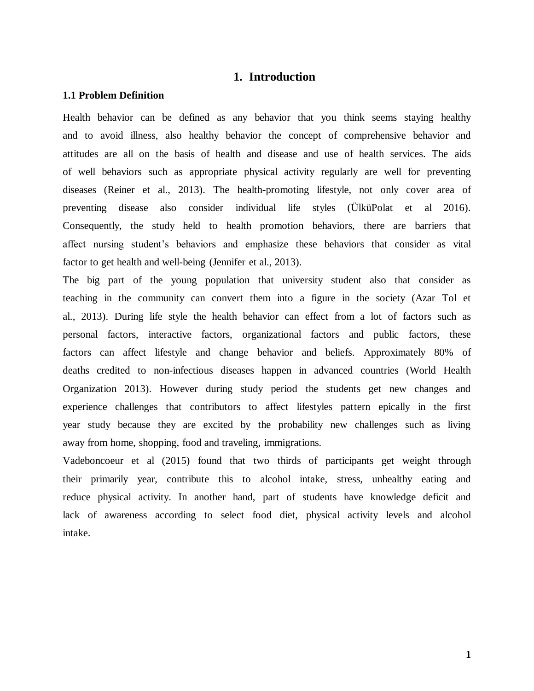## **1. Introduction**

#### <span id="page-9-1"></span><span id="page-9-0"></span>**1.1 Problem Definition**

Health behavior can be defined as any behavior that you think seems staying healthy and to avoid illness, also healthy behavior the concept of comprehensive behavior and attitudes are all on the basis of health and disease and use of health services. The aids of well behaviors such as appropriate physical activity regularly are well for preventing diseases (Reiner et al., 2013). The health-promoting lifestyle, not only cover area of preventing disease also consider individual life styles (ÜlküPolat et al 2016). Consequently, the study held to health promotion behaviors, there are barriers that affect nursing student's behaviors and emphasize these behaviors that consider as vital factor to get health and well-being (Jennifer et al., 2013).

The big part of the young population that university student also that consider as teaching in the community can convert them into a figure in the society (Azar Tol et al., 2013). During life style the health behavior can effect from a lot of factors such as personal factors, interactive factors, organizational factors and public factors, these factors can affect lifestyle and change behavior and beliefs. Approximately 80% of deaths credited to non-infectious diseases happen in advanced countries (World Health Organization 2013). However during study period the students get new changes and experience challenges that contributors to affect lifestyles pattern epically in the first year study because they are excited by the probability new challenges such as living away from home, shopping, food and traveling, immigrations.

Vadeboncoeur et al (2015) found that two thirds of participants get weight through their primarily year, contribute this to alcohol intake, stress, unhealthy eating and reduce physical activity. In another hand, part of students have knowledge deficit and lack of awareness according to select food diet, physical activity levels and alcohol intake.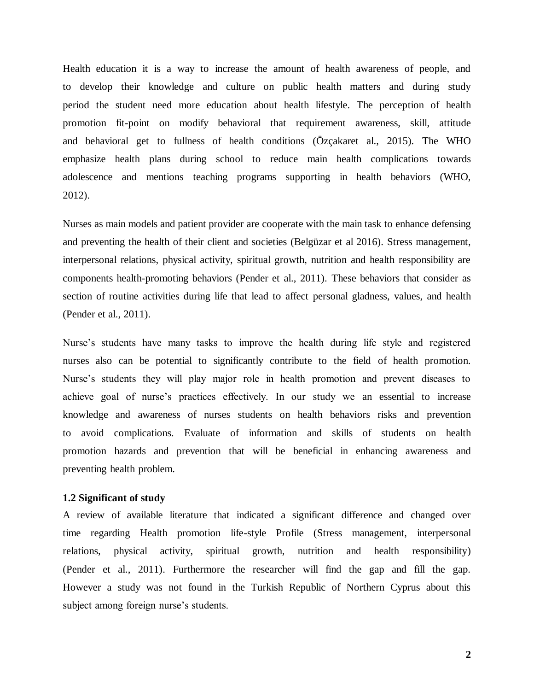Health education it is a way to increase the amount of health awareness of people, and to develop their knowledge and culture on public health matters and during study period the student need more education about health lifestyle. The perception of health promotion fit-point on modify behavioral that requirement awareness, skill, attitude and behavioral get to fullness of health conditions (Özçakaret al., 2015). The WHO emphasize health plans during school to reduce main health complications towards adolescence and mentions teaching programs supporting in health behaviors (WHO, 2012).

Nurses as main models and patient provider are cooperate with the main task to enhance defensing and preventing the health of their client and societies (Belgüzar et al 2016). Stress management, interpersonal relations, physical activity, spiritual growth, nutrition and health responsibility are components health-promoting behaviors (Pender et al., 2011). These behaviors that consider as section of routine activities during life that lead to affect personal gladness, values, and health (Pender et al., 2011).

Nurse's students have many tasks to improve the health during life style and registered nurses also can be potential to significantly contribute to the field of health promotion. Nurse's students they will play major role in health promotion and prevent diseases to achieve goal of nurse's practices effectively. In our study we an essential to increase knowledge and awareness of nurses students on health behaviors risks and prevention to avoid complications. Evaluate of information and skills of students on health promotion hazards and prevention that will be beneficial in enhancing awareness and preventing health problem.

#### <span id="page-10-0"></span>**1.2 Significant of study**

A review of available literature that indicated a significant difference and changed over time regarding Health promotion life-style Profile (Stress management, interpersonal relations, physical activity, spiritual growth, nutrition and health responsibility) (Pender et al., 2011). Furthermore the researcher will find the gap and fill the gap. However a study was not found in the Turkish Republic of Northern Cyprus about this subject among foreign nurse's students.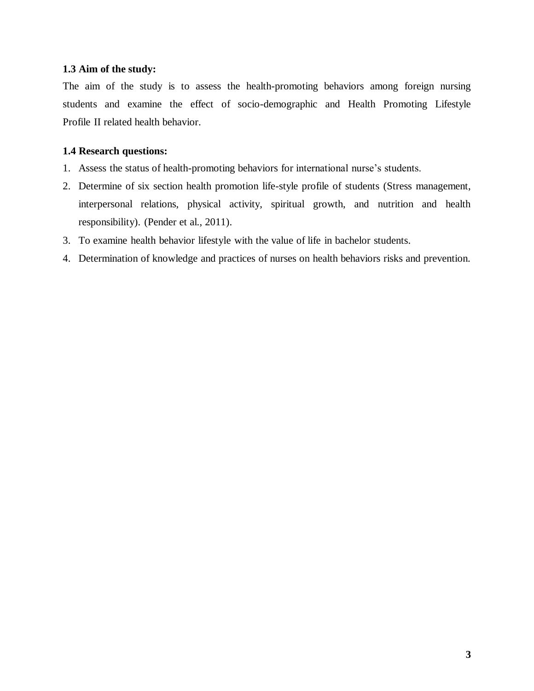## <span id="page-11-0"></span>**1.3 Aim of the study:**

The aim of the study is to assess the health-promoting behaviors among foreign nursing students and examine the effect of socio-demographic and Health Promoting Lifestyle Profile II related health behavior.

## <span id="page-11-1"></span>**1.4 Research questions:**

- 1. Assess the status of health-promoting behaviors for international nurse's students.
- 2. Determine of six section health promotion life-style profile of students (Stress management, interpersonal relations, physical activity, spiritual growth, and nutrition and health responsibility). (Pender et al., 2011).
- 3. To examine health behavior lifestyle with the value of life in bachelor students.
- 4. Determination of knowledge and practices of nurses on health behaviors risks and prevention.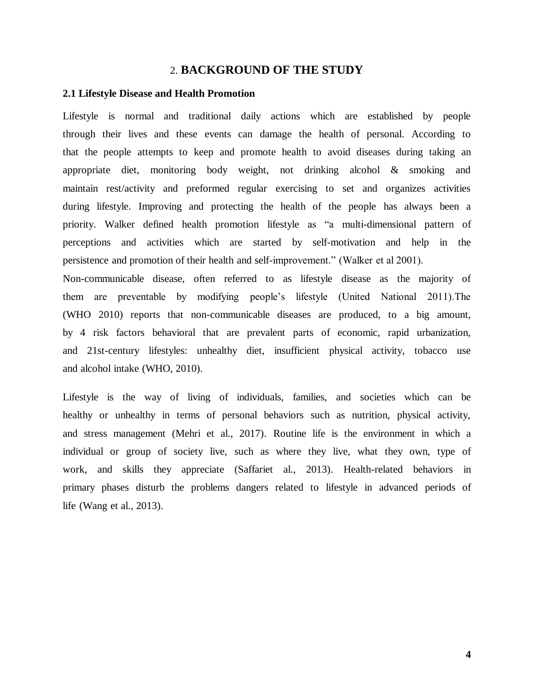#### 2. **BACKGROUND OF THE STUDY**

#### <span id="page-12-1"></span><span id="page-12-0"></span>**2.1 Lifestyle Disease and Health Promotion**

Lifestyle is normal and traditional daily actions which are established by people through their lives and these events can damage the health of personal. According to that the people attempts to keep and promote health to avoid diseases during taking an appropriate diet, monitoring body weight, not drinking alcohol & smoking and maintain rest/activity and preformed regular exercising to set and organizes activities during lifestyle. Improving and protecting the health of the people has always been a priority. Walker defined health promotion lifestyle as "a multi-dimensional pattern of perceptions and activities which are started by self-motivation and help in the persistence and promotion of their health and self-improvement." (Walker et al 2001).

Non-communicable disease, often referred to as lifestyle disease as the majority of them are preventable by modifying people's lifestyle (United National 2011).The (WHO 2010) reports that non-communicable diseases are produced, to a big amount, by 4 risk factors behavioral that are prevalent parts of economic, rapid urbanization, and 21st-century lifestyles: unhealthy diet, insufficient physical activity, tobacco use and alcohol intake (WHO, 2010).

Lifestyle is the way of living of individuals, families, and societies which can be healthy or unhealthy in terms of personal behaviors such as nutrition, physical activity, and stress management (Mehri et al., 2017). Routine life is the environment in which a individual or group of society live, such as where they live, what they own, type of work, and skills they appreciate (Saffariet al., 2013). Health-related behaviors in primary phases disturb the problems dangers related to lifestyle in advanced periods of life (Wang et al., 2013).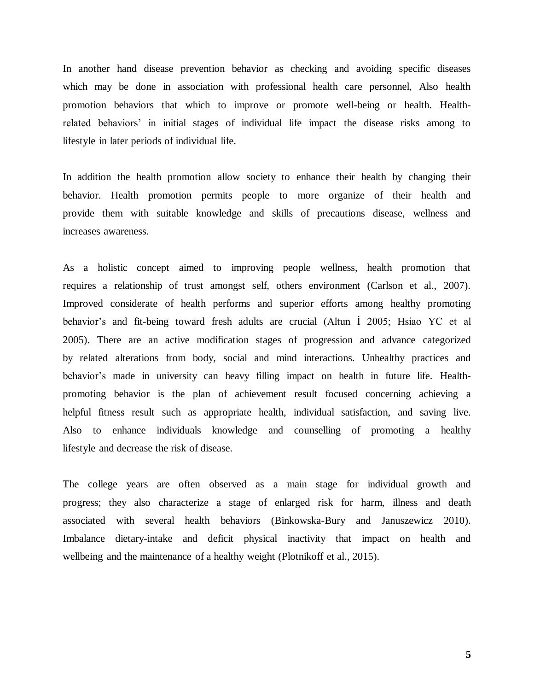In another hand disease prevention behavior as checking and avoiding specific diseases which may be done in association with professional health care personnel, Also health promotion behaviors that which to improve or promote well-being or health. Healthrelated behaviors' in initial stages of individual life impact the disease risks among to lifestyle in later periods of individual life.

In addition the health promotion allow society to enhance their health by changing their behavior. Health promotion permits people to more organize of their health and provide them with suitable knowledge and skills of precautions disease, wellness and increases awareness.

As a holistic concept aimed to improving people wellness, health promotion that requires a relationship of trust amongst self, others environment (Carlson et al., 2007). Improved considerate of health performs and superior efforts among healthy promoting behavior's and fit-being toward fresh adults are crucial (Altun İ 2005; Hsiao YC et al 2005). There are an active modification stages of progression and advance categorized by related alterations from body, social and mind interactions. Unhealthy practices and behavior's made in university can heavy filling impact on health in future life. Healthpromoting behavior is the plan of achievement result focused concerning achieving a helpful fitness result such as appropriate health, individual satisfaction, and saving live. Also to enhance individuals knowledge and counselling of promoting a healthy lifestyle and decrease the risk of disease.

The college years are often observed as a main stage for individual growth and progress; they also characterize a stage of enlarged risk for harm, illness and death associated with several health behaviors (Binkowska-Bury and Januszewicz 2010). Imbalance dietary-intake and deficit physical inactivity that impact on health and wellbeing and the maintenance of a healthy weight (Plotnikoff et al., 2015).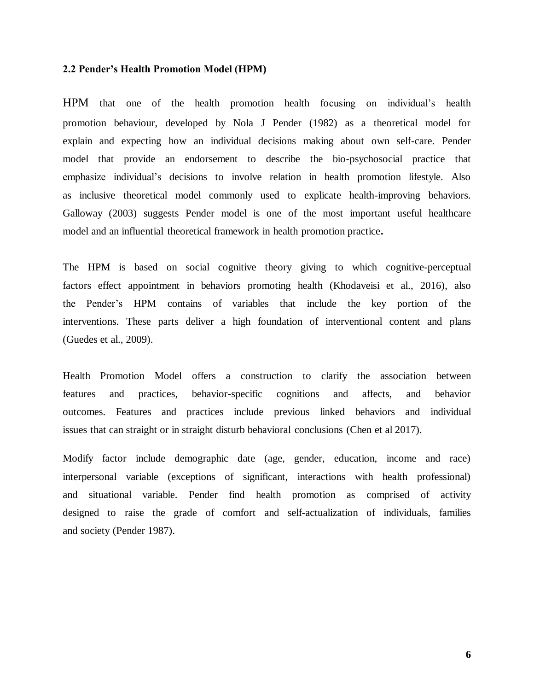#### <span id="page-14-0"></span>**2.2 Pender's Health Promotion Model (HPM)**

HPM that one of the health promotion health focusing on individual's health promotion behaviour, developed by Nola J Pender (1982) as a theoretical model for explain and expecting how an individual decisions making about own self-care. Pender model that provide an endorsement to describe the bio-psychosocial practice that emphasize individual's decisions to involve relation in health promotion lifestyle. Also as inclusive theoretical model commonly used to explicate health-improving behaviors. Galloway (2003) suggests Pender model is one of the most important useful healthcare model and an influential theoretical framework in health promotion practice**.** 

The HPM is based on social cognitive theory giving to which cognitive-perceptual factors effect appointment in behaviors promoting health (Khodaveisi et al., 2016), also the Pender's HPM contains of variables that include the key portion of the interventions. These parts deliver a high foundation of interventional content and plans (Guedes et al., 2009).

Health Promotion Model offers a construction to clarify the association between features and practices, behavior-specific cognitions and affects, and behavior outcomes. Features and practices include previous linked behaviors and individual issues that can straight or in straight disturb behavioral conclusions (Chen et al 2017).

Modify factor include demographic date (age, gender, education, income and race) interpersonal variable (exceptions of significant, interactions with health professional) and situational variable. Pender find health promotion as comprised of activity designed to raise the grade of comfort and self-actualization of individuals, families and society (Pender 1987).

**6**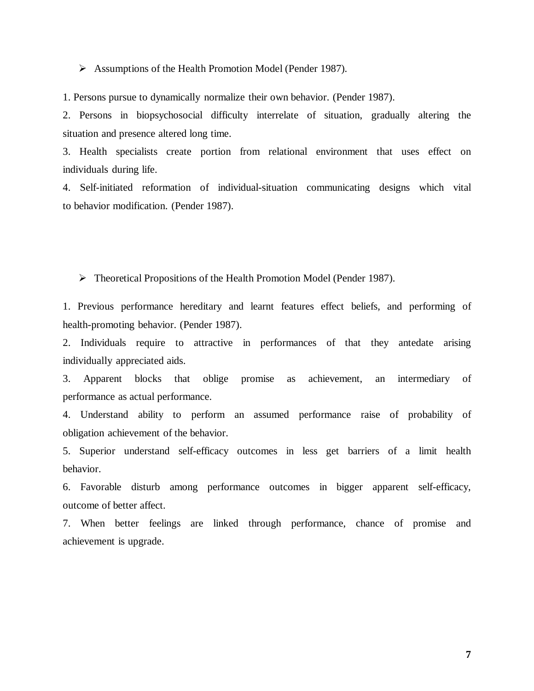Assumptions of the Health Promotion Model (Pender 1987).

1. Persons pursue to dynamically normalize their own behavior. (Pender 1987).

2. Persons in biopsychosocial difficulty interrelate of situation, gradually altering the situation and presence altered long time.

3. Health specialists create portion from relational environment that uses effect on individuals during life.

4. Self-initiated reformation of individual-situation communicating designs which vital to behavior modification. (Pender 1987).

Theoretical Propositions of the Health Promotion Model (Pender 1987).

1. Previous performance hereditary and learnt features effect beliefs, and performing of health-promoting behavior. (Pender 1987).

2. Individuals require to attractive in performances of that they antedate arising individually appreciated aids.

3. Apparent blocks that oblige promise as achievement, an intermediary of performance as actual performance.

4. Understand ability to perform an assumed performance raise of probability of obligation achievement of the behavior.

5. Superior understand self-efficacy outcomes in less get barriers of a limit health behavior.

6. Favorable disturb among performance outcomes in bigger apparent self-efficacy, outcome of better affect.

7. When better feelings are linked through performance, chance of promise and achievement is upgrade.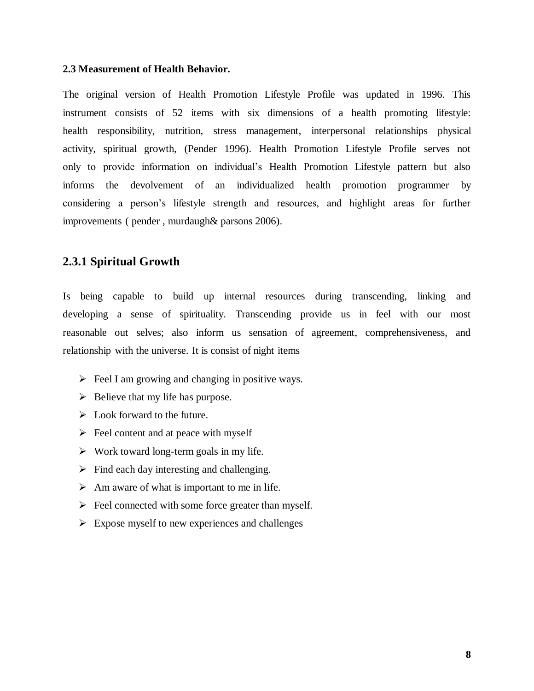#### <span id="page-16-0"></span>**2.3 Measurement of Health Behavior.**

The original version of Health Promotion Lifestyle Profile was updated in 1996. This instrument consists of 52 items with six dimensions of a health promoting lifestyle: health responsibility, nutrition, stress management, interpersonal relationships physical activity, spiritual growth, (Pender 1996). Health Promotion Lifestyle Profile serves not only to provide information on individual's Health Promotion Lifestyle pattern but also informs the devolvement of an individualized health promotion programmer by considering a person's lifestyle strength and resources, and highlight areas for further improvements ( pender , murdaugh& parsons 2006).

### <span id="page-16-1"></span>**2.3.1 Spiritual Growth**

Is being capable to build up internal resources during transcending, linking and developing a sense of spirituality. Transcending provide us in feel with our most reasonable out selves; also inform us sensation of agreement, comprehensiveness, and relationship with the universe. It is consist of night items

- $\triangleright$  Feel I am growing and changing in positive ways.
- $\triangleright$  Believe that my life has purpose.
- $\triangleright$  Look forward to the future.
- $\triangleright$  Feel content and at peace with myself
- $\triangleright$  Work toward long-term goals in my life.
- $\triangleright$  Find each day interesting and challenging.
- $\triangleright$  Am aware of what is important to me in life.
- $\triangleright$  Feel connected with some force greater than myself.
- $\triangleright$  Expose myself to new experiences and challenges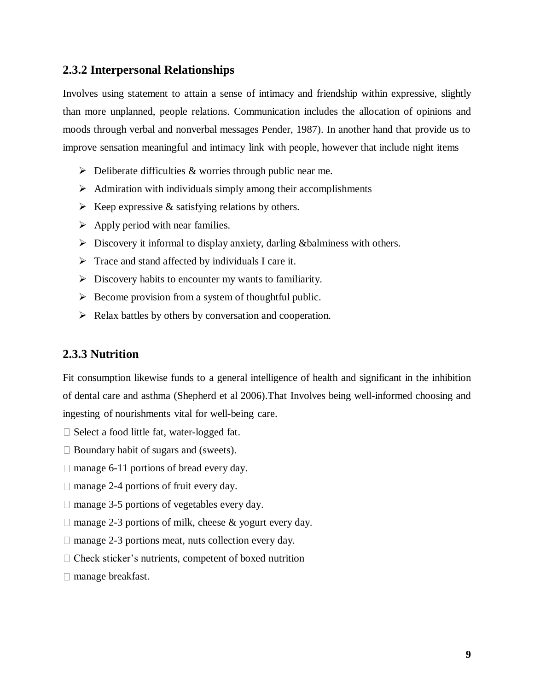## <span id="page-17-0"></span>**2.3.2 Interpersonal Relationships**

Involves using statement to attain a sense of intimacy and friendship within expressive, slightly than more unplanned, people relations. Communication includes the allocation of opinions and moods through verbal and nonverbal messages Pender, 1987). In another hand that provide us to improve sensation meaningful and intimacy link with people, however that include night items

- $\triangleright$  Deliberate difficulties & worries through public near me.
- $\triangleright$  Admiration with individuals simply among their accomplishments
- $\triangleright$  Keep expressive & satisfying relations by others.
- $\triangleright$  Apply period with near families.
- $\triangleright$  Discovery it informal to display anxiety, darling &balminess with others.
- $\triangleright$  Trace and stand affected by individuals I care it.
- $\triangleright$  Discovery habits to encounter my wants to familiarity.
- $\triangleright$  Become provision from a system of thoughtful public.
- $\triangleright$  Relax battles by others by conversation and cooperation.

### <span id="page-17-1"></span>**2.3.3 Nutrition**

Fit consumption likewise funds to a general intelligence of health and significant in the inhibition of dental care and asthma (Shepherd et al 2006).That Involves being well-informed choosing and ingesting of nourishments vital for well-being care.

- $\Box$  Select a food little fat, water-logged fat.
- $\Box$  Boundary habit of sugars and (sweets).
- $\Box$  manage 6-11 portions of bread every day.
- $\Box$  manage 2-4 portions of fruit every day.
- $\Box$  manage 3-5 portions of vegetables every day.
- $\Box$  manage 2-3 portions of milk, cheese & yogurt every day.
- $\Box$  manage 2-3 portions meat, nuts collection every day.
- $\Box$  Check sticker's nutrients, competent of boxed nutrition
- □ manage breakfast.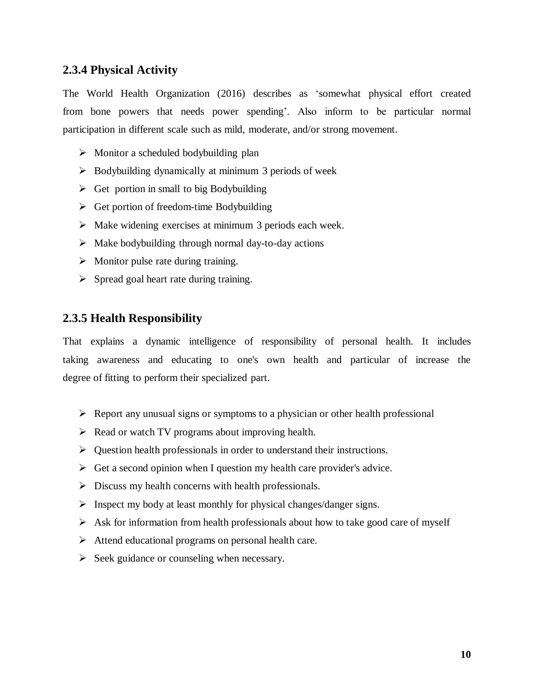## <span id="page-18-0"></span>**2.3.4 Physical Activity**

The World Health Organization (2016) describes as 'somewhat physical effort created from bone powers that needs power spending'. Also inform to be particular normal participation in different scale such as mild, moderate, and/or strong movement.

- $\triangleright$  Monitor a scheduled bodybuilding plan
- $\triangleright$  Bodybuilding dynamically at minimum 3 periods of week
- $\triangleright$  Get portion in small to big Bodybuilding
- $\triangleright$  Get portion of freedom-time Bodybuilding
- $\triangleright$  Make widening exercises at minimum 3 periods each week.
- $\triangleright$  Make bodybuilding through normal day-to-day actions
- $\triangleright$  Monitor pulse rate during training.
- $\triangleright$  Spread goal heart rate during training.

# <span id="page-18-1"></span>**2.3.5 Health Responsibility**

That explains a dynamic intelligence of responsibility of personal health. It includes taking awareness and educating to one's own health and particular of increase the degree of fitting to perform their specialized part.

- $\triangleright$  Report any unusual signs or symptoms to a physician or other health professional
- $\triangleright$  Read or watch TV programs about improving health.
- $\triangleright$  Question health professionals in order to understand their instructions.
- $\triangleright$  Get a second opinion when I question my health care provider's advice.
- $\triangleright$  Discuss my health concerns with health professionals.
- $\triangleright$  Inspect my body at least monthly for physical changes/danger signs.
- $\triangleright$  Ask for information from health professionals about how to take good care of myself
- $\triangleright$  Attend educational programs on personal health care.
- $\triangleright$  Seek guidance or counseling when necessary.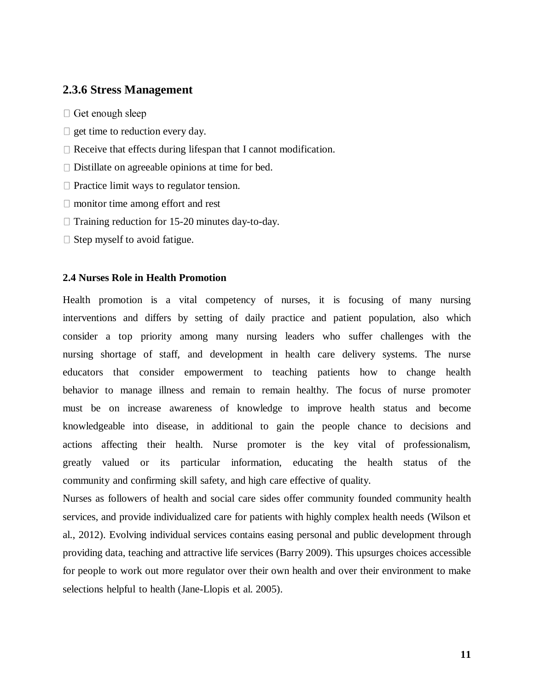## <span id="page-19-0"></span>**2.3.6 Stress Management**

- $\Box$  Get enough sleep
- $\Box$  get time to reduction every day.
- $\Box$  Receive that effects during lifespan that I cannot modification.
- $\square$  Distillate on agreeable opinions at time for bed.
- $\Box$  Practice limit ways to regulator tension.
- $\Box$  monitor time among effort and rest
- $\Box$  Training reduction for 15-20 minutes day-to-day.
- $\Box$  Step myself to avoid fatigue.

#### <span id="page-19-1"></span>**2.4 Nurses Role in Health Promotion**

Health promotion is a vital competency of nurses, it is focusing of many nursing interventions and differs by setting of daily practice and patient population, also which consider a top priority among many nursing leaders who suffer challenges with the nursing shortage of staff, and development in health care delivery systems. The nurse educators that consider empowerment to teaching patients how to change health behavior to manage illness and remain to remain healthy. The focus of nurse promoter must be on increase awareness of knowledge to improve health status and become knowledgeable into disease, in additional to gain the people chance to decisions and actions affecting their health. Nurse promoter is the key vital of professionalism, greatly valued or its particular information, educating the health status of the community and confirming skill safety, and high care effective of quality.

Nurses as followers of health and social care sides offer community founded community health services, and provide individualized care for patients with highly complex health needs (Wilson et al., 2012). Evolving individual services contains easing personal and public development through providing data, teaching and attractive life services (Barry 2009). This upsurges choices accessible for people to work out more regulator over their own health and over their environment to make selections helpful to health (Jane-Llopis et al. 2005).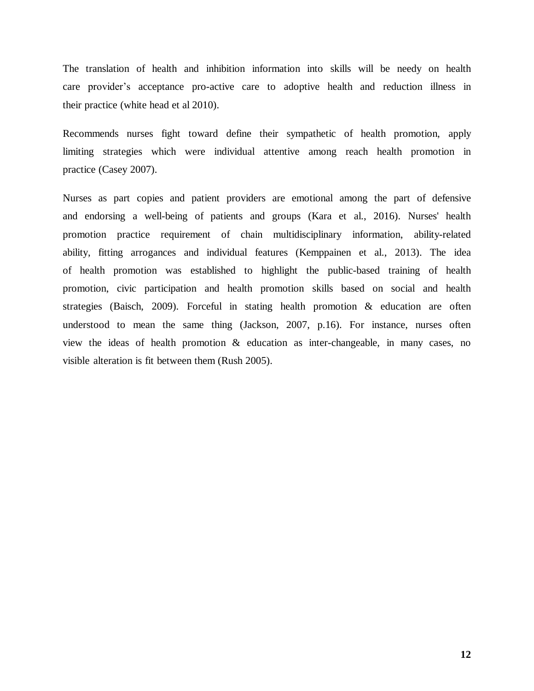The translation of health and inhibition information into skills will be needy on health care provider's acceptance pro-active care to adoptive health and reduction illness in their practice (white head et al 2010).

Recommends nurses fight toward define their sympathetic of health promotion, apply limiting strategies which were individual attentive among reach health promotion in practice (Casey 2007).

Nurses as part copies and patient providers are emotional among the part of defensive and endorsing a well-being of patients and groups (Kara et al., 2016). Nurses' health promotion practice requirement of chain multidisciplinary information, ability-related ability, fitting arrogances and individual features (Kemppainen et al., 2013). The idea of health promotion was established to highlight the public-based training of health promotion, civic participation and health promotion skills based on social and health strategies (Baisch, 2009). Forceful in stating health promotion & education are often understood to mean the same thing (Jackson, 2007, p.16). For instance, nurses often view the ideas of health promotion & education as inter-changeable, in many cases, no visible alteration is fit between them (Rush 2005).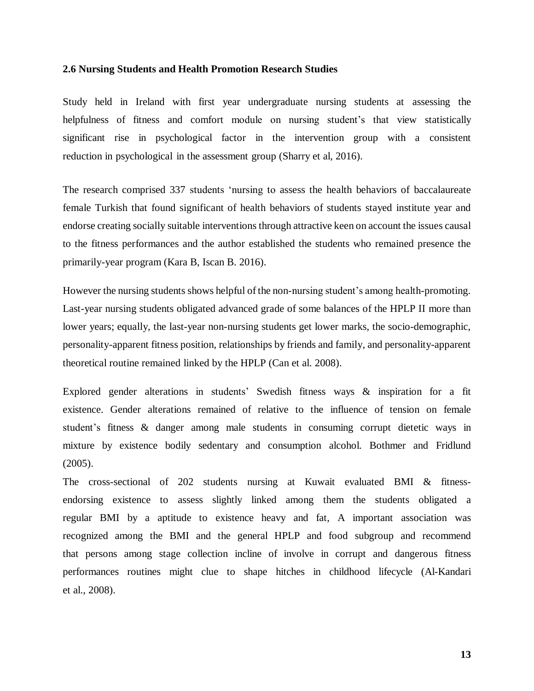#### <span id="page-21-0"></span>**2.6 Nursing Students and Health Promotion Research Studies**

Study held in Ireland with first year undergraduate nursing students at assessing the helpfulness of fitness and comfort module on nursing student's that view statistically significant rise in psychological factor in the intervention group with a consistent reduction in psychological in the assessment group (Sharry et al, 2016).

The research comprised 337 students 'nursing to assess the health behaviors of baccalaureate female Turkish that found significant of health behaviors of students stayed institute year and endorse creating socially suitable interventions through attractive keen on account the issues causal to the fitness performances and the author established the students who remained presence the primarily-year program (Kara B, Iscan B. 2016).

However the nursing students shows helpful of the non-nursing student's among health-promoting. Last-year nursing students obligated advanced grade of some balances of the HPLP II more than lower years; equally, the last-year non-nursing students get lower marks, the socio-demographic, personality-apparent fitness position, relationships by friends and family, and personality-apparent theoretical routine remained linked by the HPLP (Can et al. 2008).

Explored gender alterations in students' Swedish fitness ways & inspiration for a fit existence. Gender alterations remained of relative to the influence of tension on female student's fitness & danger among male students in consuming corrupt dietetic ways in mixture by existence bodily sedentary and consumption alcohol. Bothmer and Fridlund (2005).

The cross-sectional of 202 students nursing at Kuwait evaluated BMI & fitnessendorsing existence to assess slightly linked among them the students obligated a regular BMI by a aptitude to existence heavy and fat, A important association was recognized among the BMI and the general HPLP and food subgroup and recommend that persons among stage collection incline of involve in corrupt and dangerous fitness performances routines might clue to shape hitches in childhood lifecycle (Al-Kandari et al., 2008).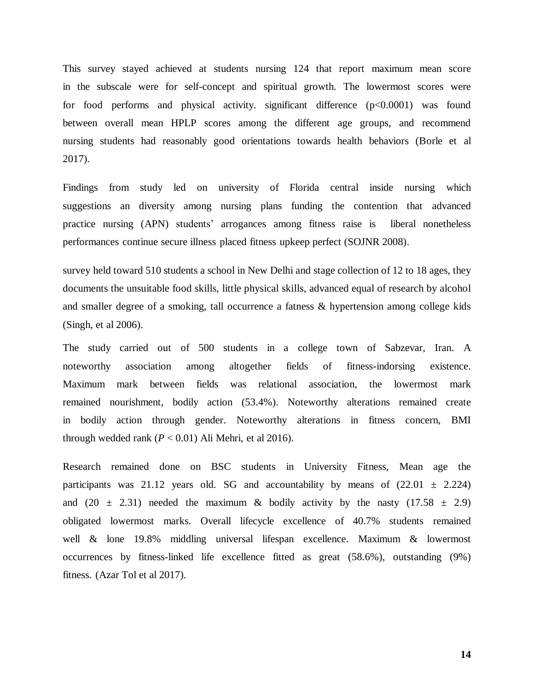This survey stayed achieved at students nursing 124 that report maximum mean score in the subscale were for self-concept and spiritual growth. The lowermost scores were for food performs and physical activity. significant difference  $(p<0.0001)$  was found between overall mean HPLP scores among the different age groups, and recommend nursing students had reasonably good orientations towards health behaviors (Borle et al 2017).

Findings from study led on university of Florida central inside nursing which suggestions an diversity among nursing plans funding the contention that advanced practice nursing (APN) students' arrogances among fitness raise is liberal nonetheless performances continue secure illness placed fitness upkeep perfect (SOJNR 2008).

survey held toward 510 students a school in New Delhi and stage collection of 12 to 18 ages, they documents the unsuitable food skills, little physical skills, advanced equal of research by alcohol and smaller degree of a smoking, tall occurrence a fatness & hypertension among college kids (Singh, et al 2006).

The study carried out of 500 students in a college town of Sabzevar, Iran. A noteworthy association among altogether fields of fitness-indorsing existence. Maximum mark between fields was relational association, the lowermost mark remained nourishment, bodily action (53.4%). Noteworthy alterations remained create in bodily action through gender. Noteworthy alterations in fitness concern, BMI through wedded rank  $(P < 0.01)$  Ali Mehri, et al 2016).

Research remained done on BSC students in University Fitness, Mean age the participants was 21.12 years old. SG and accountability by means of  $(22.01 \pm 2.224)$ and (20  $\pm$  2.31) needed the maximum & bodily activity by the nasty (17.58  $\pm$  2.9) obligated lowermost marks. Overall lifecycle excellence of 40.7% students remained well & lone 19.8% middling universal lifespan excellence. Maximum & lowermost occurrences by fitness-linked life excellence fitted as great (58.6%), outstanding (9%) fitness. (Azar Tol et al 2017).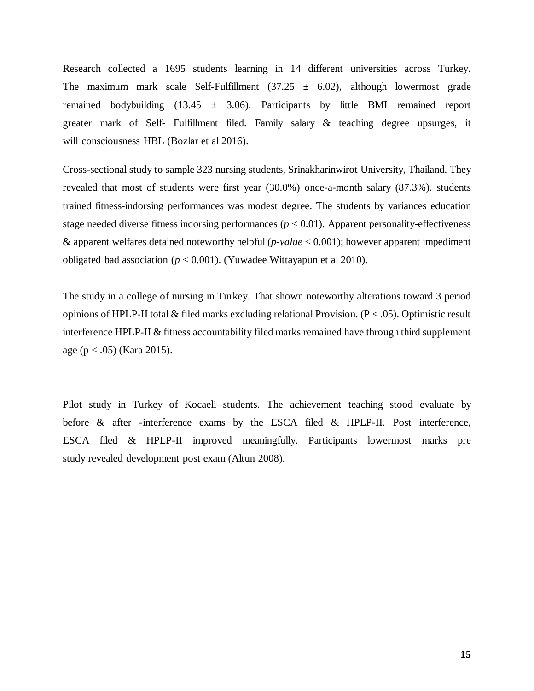Research collected a 1695 students learning in 14 different universities across Turkey. The maximum mark scale Self-Fulfillment  $(37.25 \pm 6.02)$ , although lowermost grade remained bodybuilding  $(13.45 \pm 3.06)$ . Participants by little BMI remained report greater mark of Self- Fulfillment filed. Family salary & teaching degree upsurges, it will consciousness HBL (Bozlar et al 2016).

Cross-sectional study to sample 323 nursing students, Srinakharinwirot University, Thailand. They revealed that most of students were first year (30.0%) once-a-month salary (87.3%). students trained fitness-indorsing performances was modest degree. The students by variances education stage needed diverse fitness indorsing performances  $(p < 0.01)$ . Apparent personality-effectiveness & apparent welfares detained noteworthy helpful (*p-value* < 0.001); however apparent impediment obligated bad association ( $p < 0.001$ ). (Yuwadee Wittayapun et al 2010).

The study in a college of nursing in Turkey. That shown noteworthy alterations toward 3 period opinions of HPLP-II total  $&$  filed marks excluding relational Provision. (P < .05). Optimistic result interference HPLP-II & fitness accountability filed marks remained have through third supplement age ( $p < .05$ ) (Kara 2015).

Pilot study in Turkey of Kocaeli students. The achievement teaching stood evaluate by before & after -interference exams by the ESCA filed & HPLP-II. Post interference, ESCA filed & HPLP-II improved meaningfully. Participants lowermost marks pre study revealed development post exam (Altun 2008).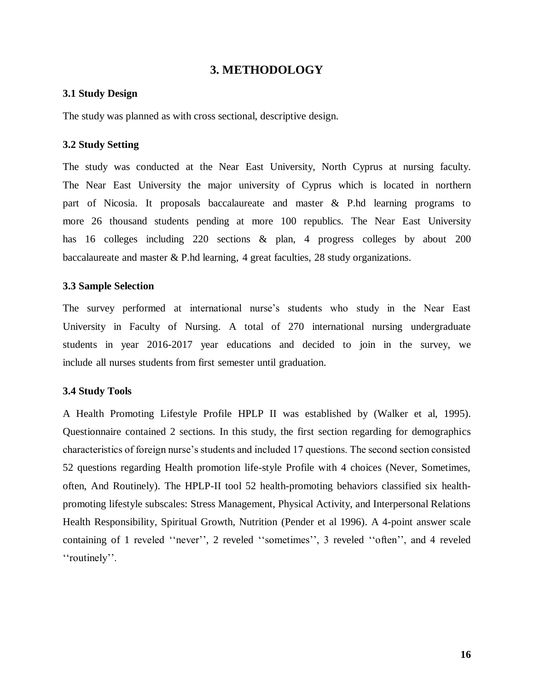### **3. METHODOLOGY**

#### <span id="page-24-1"></span><span id="page-24-0"></span>**3.1 Study Design**

The study was planned as with cross sectional, descriptive design.

### <span id="page-24-2"></span>**3.2 Study Setting**

The study was conducted at the Near East University, North Cyprus at nursing faculty. The Near East University the major university of Cyprus which is located in northern part of Nicosia. It proposals baccalaureate and master & P.hd learning programs to more 26 thousand students pending at more 100 republics. The Near East University has 16 colleges including 220 sections & plan, 4 progress colleges by about 200 baccalaureate and master & P.hd learning, 4 great faculties, 28 study organizations.

#### <span id="page-24-3"></span>**3.3 Sample Selection**

The survey performed at international nurse's students who study in the Near East University in Faculty of Nursing. A total of 270 international nursing undergraduate students in year 2016-2017 year educations and decided to join in the survey, we include all nurses students from first semester until graduation.

#### <span id="page-24-4"></span>**3.4 Study Tools**

A Health Promoting Lifestyle Profile HPLP II was established by (Walker et al, 1995). Questionnaire contained 2 sections. In this study, the first section regarding for demographics characteristics of foreign nurse's students and included 17 questions. The second section consisted 52 questions regarding Health promotion life-style Profile with 4 choices (Never, Sometimes, often, And Routinely). The HPLP-II tool 52 health-promoting behaviors classified six healthpromoting lifestyle subscales: Stress Management, Physical Activity, and Interpersonal Relations Health Responsibility, Spiritual Growth, Nutrition (Pender et al 1996). A 4-point answer scale containing of 1 reveled ''never'', 2 reveled ''sometimes'', 3 reveled ''often'', and 4 reveled ''routinely''.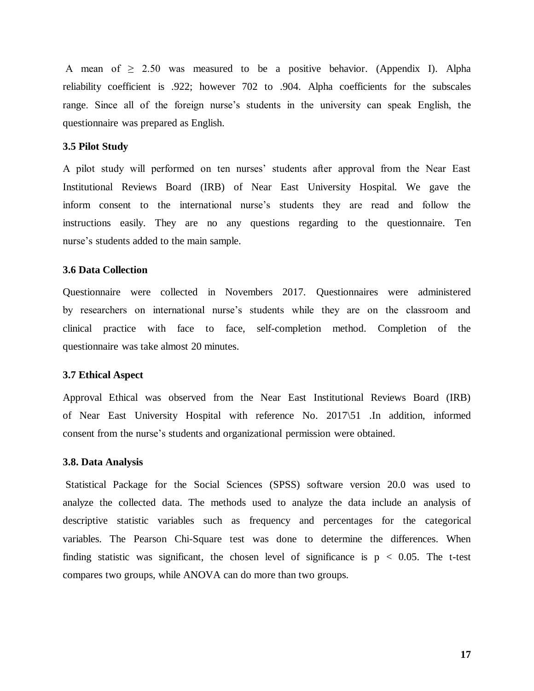A mean of  $\geq$  2.50 was measured to be a positive behavior. (Appendix I). Alpha reliability coefficient is .922; however 702 to .904. Alpha coefficients for the subscales range. Since all of the foreign nurse's students in the university can speak English, the questionnaire was prepared as English.

#### <span id="page-25-0"></span>**3.5 Pilot Study**

A pilot study will performed on ten nurses' students after approval from the Near East Institutional Reviews Board (IRB) of Near East University Hospital. We gave the inform consent to the international nurse's students they are read and follow the instructions easily. They are no any questions regarding to the questionnaire. Ten nurse's students added to the main sample.

#### <span id="page-25-1"></span>**3.6 Data Collection**

Questionnaire were collected in Novembers 2017. Questionnaires were administered by researchers on international nurse's students while they are on the classroom and clinical practice with face to face, self-completion method. Completion of the questionnaire was take almost 20 minutes.

#### <span id="page-25-2"></span>**3.7 Ethical Aspect**

Approval Ethical was observed from the Near East Institutional Reviews Board (IRB) of Near East University Hospital with reference No. 2017\51 .In addition, informed consent from the nurse's students and organizational permission were obtained.

#### <span id="page-25-3"></span>**3.8. Data Analysis**

Statistical Package for the Social Sciences (SPSS) software version 20.0 was used to analyze the collected data. The methods used to analyze the data include an analysis of descriptive statistic variables such as frequency and percentages for the categorical variables. The Pearson Chi-Square test was done to determine the differences. When finding statistic was significant, the chosen level of significance is  $p < 0.05$ . The t-test compares two groups, while ANOVA can do more than two groups.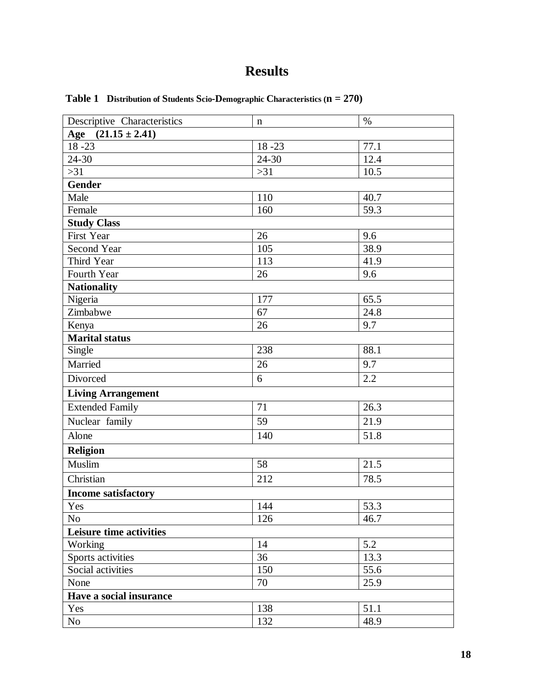# **Results**

| Descriptive Characteristics | n         | $\%$ |
|-----------------------------|-----------|------|
| $(21.15 \pm 2.41)$<br>Age   |           |      |
| $\overline{18} - 23$        | $18 - 23$ | 77.1 |
| $24 - 30$                   | 24-30     | 12.4 |
| $>31$                       | $>31$     | 10.5 |
| <b>Gender</b>               |           |      |
| Male                        | 110       | 40.7 |
| Female                      | 160       | 59.3 |
| <b>Study Class</b>          |           |      |
| First Year                  | 26        | 9.6  |
| <b>Second Year</b>          | 105       | 38.9 |
| Third Year                  | 113       | 41.9 |
| Fourth Year                 | 26        | 9.6  |
| <b>Nationality</b>          |           |      |
| Nigeria                     | 177       | 65.5 |
| Zimbabwe                    | 67        | 24.8 |
| Kenya                       | 26        | 9.7  |
| <b>Marital status</b>       |           |      |
| Single                      | 238       | 88.1 |
| Married                     | 26        | 9.7  |
| Divorced                    | 6         | 2.2  |
| <b>Living Arrangement</b>   |           |      |
| <b>Extended Family</b>      | 71        | 26.3 |
| Nuclear family              | 59        | 21.9 |
| Alone                       | 140       | 51.8 |
| <b>Religion</b>             |           |      |
| Muslim                      | 58        | 21.5 |
| Christian                   | 212       | 78.5 |
| <b>Income satisfactory</b>  |           |      |
| Yes                         | 144       | 53.3 |
| No                          | 126       | 46.7 |
| Leisure time activities     |           |      |
| Working                     | 14        | 5.2  |
| Sports activities           | 36        | 13.3 |
| Social activities           | 150       | 55.6 |
| None                        | 70        | 25.9 |
| Have a social insurance     |           |      |
| Yes                         | 138       | 51.1 |
| No                          | 132       | 48.9 |

<span id="page-26-1"></span><span id="page-26-0"></span>**Table 1 Distribution of Students Scio-Demographic Characteristics (n = 270)**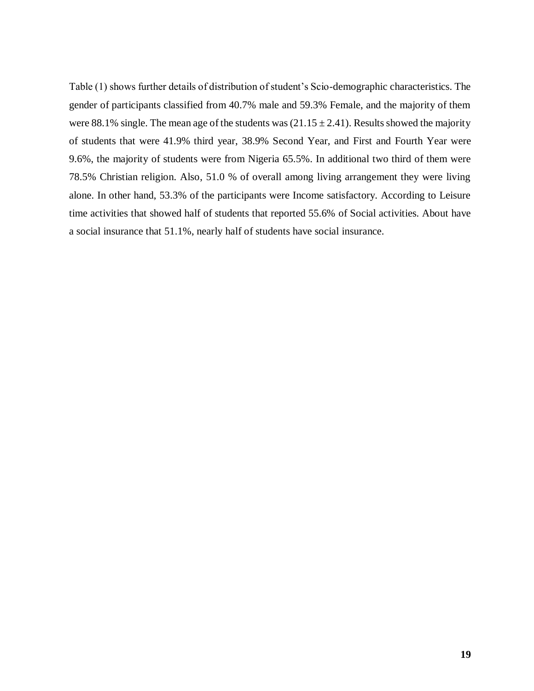Table (1) shows further details of distribution of student's Scio-demographic characteristics. The gender of participants classified from 40.7% male and 59.3% Female, and the majority of them were 88.1% single. The mean age of the students was  $(21.15 \pm 2.41)$ . Results showed the majority of students that were 41.9% third year, 38.9% Second Year, and First and Fourth Year were 9.6%, the majority of students were from Nigeria 65.5%. In additional two third of them were 78.5% Christian religion. Also, 51.0 % of overall among living arrangement they were living alone. In other hand, 53.3% of the participants were Income satisfactory. According to Leisure time activities that showed half of students that reported 55.6% of Social activities. About have a social insurance that 51.1%, nearly half of students have social insurance.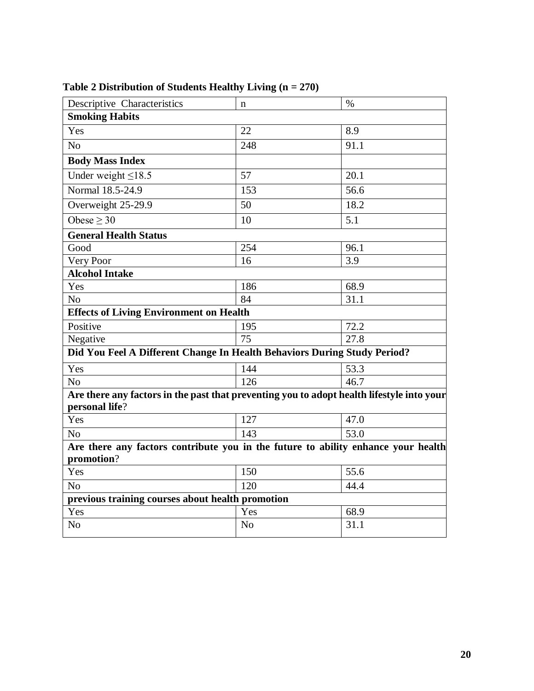| <b>Descriptive Characteristics</b>                                                                          | n              | $\%$ |  |  |  |  |  |  |
|-------------------------------------------------------------------------------------------------------------|----------------|------|--|--|--|--|--|--|
| <b>Smoking Habits</b>                                                                                       |                |      |  |  |  |  |  |  |
| Yes                                                                                                         | 22             | 8.9  |  |  |  |  |  |  |
| N <sub>o</sub>                                                                                              | 248            | 91.1 |  |  |  |  |  |  |
| <b>Body Mass Index</b>                                                                                      |                |      |  |  |  |  |  |  |
| Under weight $\leq$ 18.5                                                                                    | 57             | 20.1 |  |  |  |  |  |  |
| Normal 18.5-24.9                                                                                            | 153            | 56.6 |  |  |  |  |  |  |
| Overweight 25-29.9                                                                                          | 50             | 18.2 |  |  |  |  |  |  |
| Obese $> 30$                                                                                                | 10             | 5.1  |  |  |  |  |  |  |
| <b>General Health Status</b>                                                                                |                |      |  |  |  |  |  |  |
| Good                                                                                                        | 254            | 96.1 |  |  |  |  |  |  |
| Very Poor                                                                                                   | 16             | 3.9  |  |  |  |  |  |  |
| <b>Alcohol Intake</b>                                                                                       |                |      |  |  |  |  |  |  |
| Yes                                                                                                         | 186            | 68.9 |  |  |  |  |  |  |
| N <sub>o</sub>                                                                                              | 84             | 31.1 |  |  |  |  |  |  |
| <b>Effects of Living Environment on Health</b>                                                              |                |      |  |  |  |  |  |  |
| Positive                                                                                                    | 195            | 72.2 |  |  |  |  |  |  |
| Negative                                                                                                    | 75             | 27.8 |  |  |  |  |  |  |
| Did You Feel A Different Change In Health Behaviors During Study Period?                                    |                |      |  |  |  |  |  |  |
| Yes                                                                                                         | 144            | 53.3 |  |  |  |  |  |  |
| N <sub>o</sub>                                                                                              | 126            | 46.7 |  |  |  |  |  |  |
| Are there any factors in the past that preventing you to adopt health lifestyle into your<br>personal life? |                |      |  |  |  |  |  |  |
| Yes                                                                                                         | 127            | 47.0 |  |  |  |  |  |  |
| N <sub>o</sub>                                                                                              | 143            | 53.0 |  |  |  |  |  |  |
| Are there any factors contribute you in the future to ability enhance your health                           |                |      |  |  |  |  |  |  |
| promotion?                                                                                                  |                |      |  |  |  |  |  |  |
| Yes                                                                                                         | 150            | 55.6 |  |  |  |  |  |  |
| N <sub>o</sub>                                                                                              | 120            | 44.4 |  |  |  |  |  |  |
| previous training courses about health promotion                                                            |                |      |  |  |  |  |  |  |
| Yes                                                                                                         | Yes            | 68.9 |  |  |  |  |  |  |
| N <sub>o</sub>                                                                                              | N <sub>o</sub> | 31.1 |  |  |  |  |  |  |

# <span id="page-28-0"></span>**Table 2 Distribution of Students Healthy Living (n = 270)**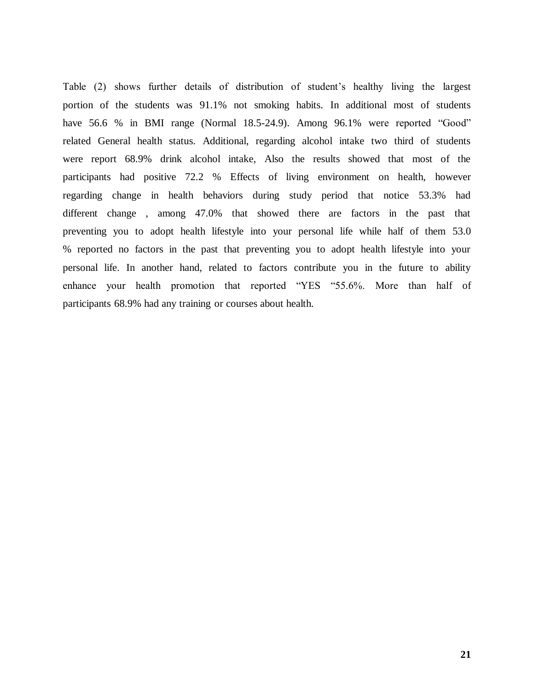Table (2) shows further details of distribution of student's healthy living the largest portion of the students was 91.1% not smoking habits. In additional most of students have 56.6 % in BMI range (Normal 18.5-24.9). Among 96.1% were reported "Good" related General health status. Additional, regarding alcohol intake two third of students were report 68.9% drink alcohol intake, Also the results showed that most of the participants had positive 72.2 % Effects of living environment on health, however regarding change in health behaviors during study period that notice 53.3% had different change , among 47.0% that showed there are factors in the past that preventing you to adopt health lifestyle into your personal life while half of them 53.0 % reported no factors in the past that preventing you to adopt health lifestyle into your personal life. In another hand, related to factors contribute you in the future to ability enhance your health promotion that reported "YES "55.6%. More than half of participants 68.9% had any training or courses about health.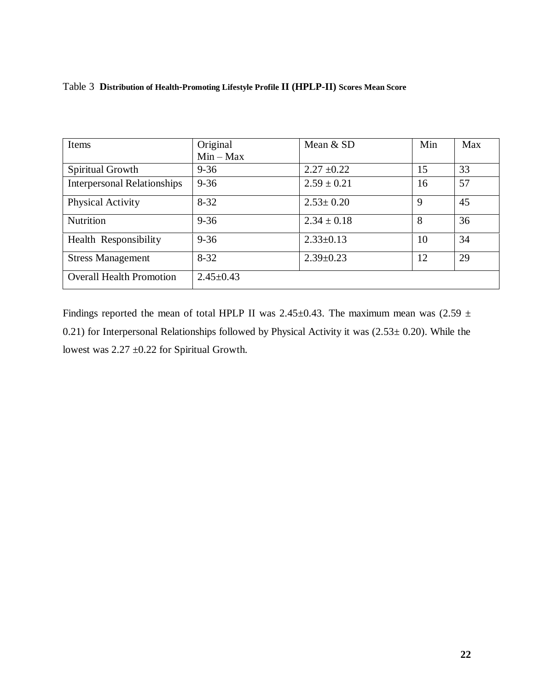## Table 3 **Distribution of Health-Promoting Lifestyle Profile II (HPLP-II) Scores Mean Score**

| Items                              | Original        | Mean & SD       | Min | Max |
|------------------------------------|-----------------|-----------------|-----|-----|
|                                    | $Min - Max$     |                 |     |     |
| Spiritual Growth                   | $9 - 36$        | $2.27 \pm 0.22$ | 15  | 33  |
| <b>Interpersonal Relationships</b> | $9 - 36$        | $2.59 \pm 0.21$ | 16  | 57  |
| <b>Physical Activity</b>           | $8 - 32$        | $2.53 \pm 0.20$ | 9   | 45  |
| Nutrition                          | $9 - 36$        | $2.34 \pm 0.18$ | 8   | 36  |
| Health Responsibility              | $9 - 36$        | $2.33 \pm 0.13$ | 10  | 34  |
| <b>Stress Management</b>           | $8 - 32$        | $2.39 \pm 0.23$ | 12  | 29  |
| <b>Overall Health Promotion</b>    | $2.45 \pm 0.43$ |                 |     |     |

Findings reported the mean of total HPLP II was 2.45 $\pm$ 0.43. The maximum mean was (2.59  $\pm$ 0.21) for Interpersonal Relationships followed by Physical Activity it was  $(2.53 \pm 0.20)$ . While the lowest was 2.27 ±0.22 for Spiritual Growth.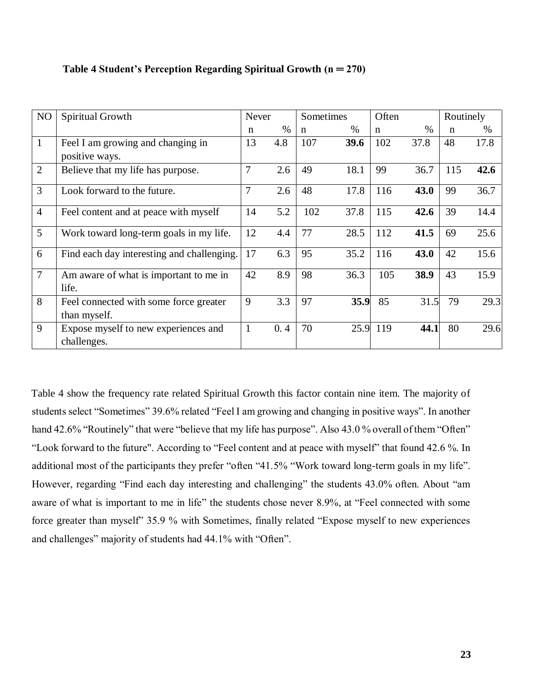| NO             | Spiritual Growth                                       | Never          |      | Sometimes   |      | Often |      | Routinely |      |
|----------------|--------------------------------------------------------|----------------|------|-------------|------|-------|------|-----------|------|
|                |                                                        | n              | $\%$ | $\mathbf n$ | $\%$ | n     | $\%$ | n         | $\%$ |
| $\mathbf{1}$   | Feel I am growing and changing in<br>positive ways.    | 13             | 4.8  | 107         | 39.6 | 102   | 37.8 | 48        | 17.8 |
| $\overline{2}$ | Believe that my life has purpose.                      | $\overline{7}$ | 2.6  | 49          | 18.1 | 99    | 36.7 | 115       | 42.6 |
| $\overline{3}$ | Look forward to the future.                            | $\overline{7}$ | 2.6  | 48          | 17.8 | 116   | 43.0 | 99        | 36.7 |
| $\overline{4}$ | Feel content and at peace with myself                  | 14             | 5.2  | 102         | 37.8 | 115   | 42.6 | 39        | 14.4 |
| 5              | Work toward long-term goals in my life.                | 12             | 4.4  | 77          | 28.5 | 112   | 41.5 | 69        | 25.6 |
| 6              | Find each day interesting and challenging.             | 17             | 6.3  | 95          | 35.2 | 116   | 43.0 | 42        | 15.6 |
| $\overline{7}$ | Am aware of what is important to me in<br>life.        | 42             | 8.9  | 98          | 36.3 | 105   | 38.9 | 43        | 15.9 |
| 8              | Feel connected with some force greater<br>than myself. | 9              | 3.3  | 97          | 35.9 | 85    | 31.5 | 79        | 29.3 |
| 9              | Expose myself to new experiences and<br>challenges.    | $\mathbf{1}$   | 0.4  | 70          | 25.9 | 119   | 44.1 | 80        | 29.6 |

#### **Table 4 Student's Perception Regarding Spiritual Growth (n ═ 270)**

Table 4 show the frequency rate related Spiritual Growth this factor contain nine item. The majority of students select "Sometimes" 39.6% related "Feel I am growing and changing in positive ways". In another hand 42.6% "Routinely" that were "believe that my life has purpose". Also 43.0 % overall of them "Often" "Look forward to the future". According to "Feel content and at peace with myself" that found 42.6 %. In additional most of the participants they prefer "often "41.5% "Work toward long-term goals in my life". However, regarding "Find each day interesting and challenging" the students 43.0% often. About "am aware of what is important to me in life" the students chose never 8.9%, at "Feel connected with some force greater than myself" 35.9 % with Sometimes, finally related "Expose myself to new experiences and challenges" majority of students had 44.1% with "Often".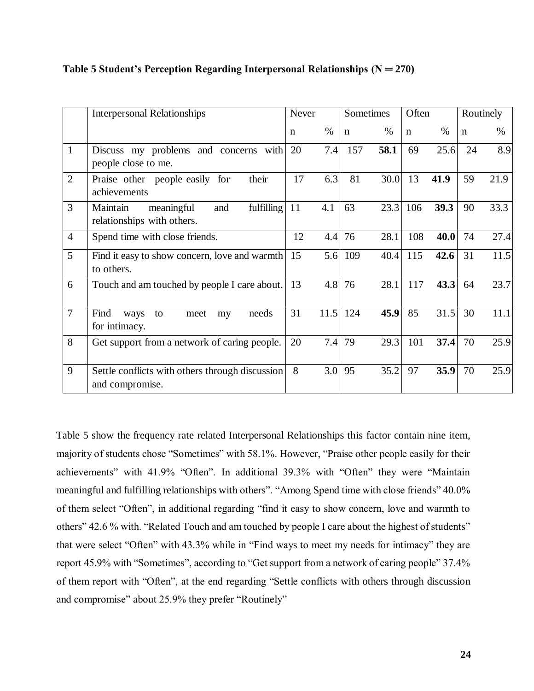|                | <b>Interpersonal Relationships</b>                                        | Never       |      | Sometimes   |      | Often       |      | Routinely   |      |
|----------------|---------------------------------------------------------------------------|-------------|------|-------------|------|-------------|------|-------------|------|
|                |                                                                           | $\mathbf n$ | $\%$ | $\mathbf n$ | $\%$ | $\mathbf n$ | $\%$ | $\mathbf n$ | $\%$ |
| $\mathbf{1}$   | Discuss my problems and concerns with<br>people close to me.              | 20          | 7.4  | 157         | 58.1 | 69          | 25.6 | 24          | 8.9  |
| $\overline{2}$ | their<br>Praise other people easily for<br>achievements                   | 17          | 6.3  | 81          | 30.0 | 13          | 41.9 | 59          | 21.9 |
| 3              | fulfilling<br>meaningful<br>Maintain<br>and<br>relationships with others. | 11          | 4.1  | 63          | 23.3 | 106         | 39.3 | 90          | 33.3 |
| $\overline{4}$ | Spend time with close friends.                                            | 12          | 4.4  | 76          | 28.1 | 108         | 40.0 | 74          | 27.4 |
| 5              | Find it easy to show concern, love and warmth<br>to others.               | 15          | 5.6  | 109         | 40.4 | 115         | 42.6 | 31          | 11.5 |
| 6              | Touch and am touched by people I care about.                              | 13          | 4.8  | 76          | 28.1 | 117         | 43.3 | 64          | 23.7 |
| $\overline{7}$ | Find<br>needs<br>ways<br>to<br>meet<br>my<br>for intimacy.                | 31          | 11.5 | 124         | 45.9 | 85          | 31.5 | 30          | 11.1 |
| 8              | Get support from a network of caring people.                              | 20          | 7.4  | 79          | 29.3 | 101         | 37.4 | 70          | 25.9 |
| 9              | Settle conflicts with others through discussion<br>and compromise.        | 8           | 3.0  | 95          | 35.2 | 97          | 35.9 | 70          | 25.9 |

## **Table 5 Student's Perception Regarding Interpersonal Relationships (N ═ 270)**

Table 5 show the frequency rate related Interpersonal Relationships this factor contain nine item, majority of students chose "Sometimes" with 58.1%. However, "Praise other people easily for their achievements" with 41.9% "Often". In additional 39.3% with "Often" they were "Maintain meaningful and fulfilling relationships with others". "Among Spend time with close friends" 40.0% of them select "Often", in additional regarding "find it easy to show concern, love and warmth to others" 42.6 % with. "Related Touch and am touched by people I care about the highest of students" that were select "Often" with 43.3% while in "Find ways to meet my needs for intimacy" they are report 45.9% with "Sometimes", according to "Get support from a network of caring people" 37.4% of them report with "Often", at the end regarding "Settle conflicts with others through discussion and compromise" about 25.9% they prefer "Routinely"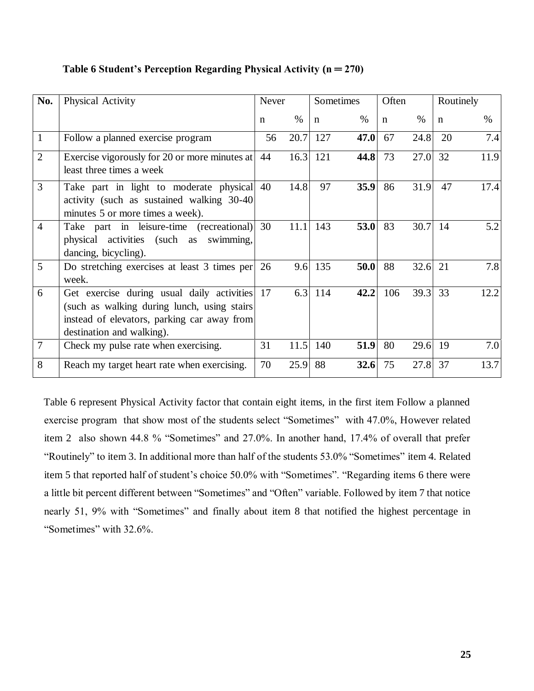| No.            | Physical Activity                                                                                                                                                      | Never |               | Sometimes |      | Often |               | Routinely |      |
|----------------|------------------------------------------------------------------------------------------------------------------------------------------------------------------------|-------|---------------|-----------|------|-------|---------------|-----------|------|
|                |                                                                                                                                                                        | n     | $\frac{0}{0}$ | n         | $\%$ | n     | $\frac{0}{0}$ | n         | $\%$ |
| $\mathbf{1}$   | Follow a planned exercise program                                                                                                                                      | 56    | 20.7          | 127       | 47.0 | 67    | 24.8          | 20        | 7.4  |
| $\overline{2}$ | Exercise vigorously for 20 or more minutes at<br>least three times a week                                                                                              | 44    | 16.3          | 121       | 44.8 | 73    | 27.0          | 32        | 11.9 |
| 3              | Take part in light to moderate physical<br>activity (such as sustained walking 30-40)<br>minutes 5 or more times a week).                                              | 40    | 14.8          | 97        | 35.9 | 86    | 31.9          | 47        | 17.4 |
| $\overline{4}$ | Take part in leisure-time (recreational)<br>physical activities (such as swimming,<br>dancing, bicycling).                                                             | 30    | 11.1          | 143       | 53.0 | 83    | 30.7          | 14        | 5.2  |
| 5              | Do stretching exercises at least 3 times per<br>week.                                                                                                                  | 26    | 9.6           | 135       | 50.0 | 88    | 32.6          | 21        | 7.8  |
| 6              | Get exercise during usual daily activities<br>(such as walking during lunch, using stairs)<br>instead of elevators, parking car away from<br>destination and walking). | 17    | 6.3           | 114       | 42.2 | 106   | 39.3          | 33        | 12.2 |
| $\overline{7}$ | Check my pulse rate when exercising.                                                                                                                                   | 31    | 11.5          | 140       | 51.9 | 80    | 29.6          | 19        | 7.0  |
| 8              | Reach my target heart rate when exercising.                                                                                                                            | 70    | 25.9          | 88        | 32.6 | 75    | 27.8          | 37        | 13.7 |

## **Table 6 Student's Perception Regarding Physical Activity (n ═ 270)**

Table 6 represent Physical Activity factor that contain eight items, in the first item Follow a planned exercise program that show most of the students select "Sometimes" with 47.0%, However related item 2 also shown 44.8 % "Sometimes" and 27.0%. In another hand, 17.4% of overall that prefer "Routinely" to item 3. In additional more than half of the students 53.0% "Sometimes" item 4. Related item 5 that reported half of student's choice 50.0% with "Sometimes". "Regarding items 6 there were a little bit percent different between "Sometimes" and "Often" variable. Followed by item 7 that notice nearly 51, 9% with "Sometimes" and finally about item 8 that notified the highest percentage in "Sometimes" with 32.6%.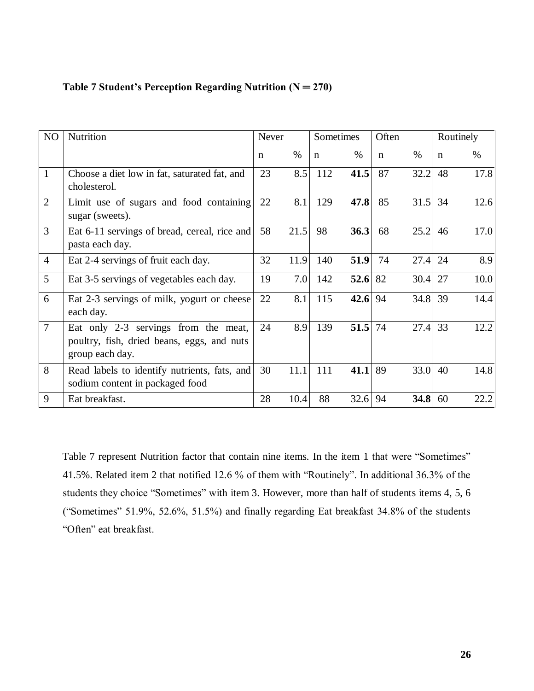| NO             | Nutrition                                                                                             |             | <b>Never</b> |             | Sometimes |             | Often     |             | Routinely |  |
|----------------|-------------------------------------------------------------------------------------------------------|-------------|--------------|-------------|-----------|-------------|-----------|-------------|-----------|--|
|                |                                                                                                       | $\mathbf n$ | $\%$         | $\mathbf n$ | $\%$      | $\mathbf n$ | $\%$      | $\mathbf n$ | $\%$      |  |
| $\mathbf{1}$   | Choose a diet low in fat, saturated fat, and<br>cholesterol.                                          | 23          | 8.5          | 112         | 41.5      | 87          | 32.2      | 48          | 17.8      |  |
| $\overline{2}$ | Limit use of sugars and food containing<br>sugar (sweets).                                            | 22          | 8.1          | 129         | 47.8      | 85          | 31.5      | 34          | 12.6      |  |
| $\overline{3}$ | Eat 6-11 servings of bread, cereal, rice and<br>pasta each day.                                       | 58          | 21.5         | 98          | 36.3      | 68          | 25.2      | 46          | 17.0      |  |
| $\overline{4}$ | Eat 2-4 servings of fruit each day.                                                                   | 32          | 11.9         | 140         | 51.9      | 74          | 27.4      | 24          | 8.9       |  |
| 5              | Eat 3-5 servings of vegetables each day.                                                              | 19          | 7.0          | 142         | 52.6      | 82          | 30.4      | 27          | 10.0      |  |
| 6              | Eat 2-3 servings of milk, yogurt or cheese<br>each day.                                               | 22          | 8.1          | 115         | 42.6 $94$ |             | $34.8$ 39 |             | 14.4      |  |
| $\overline{7}$ | Eat only 2-3 servings from the meat,<br>poultry, fish, dried beans, eggs, and nuts<br>group each day. | 24          | 8.9          | 139         | 51.5      | 74          | 27.4      | 33          | 12.2      |  |
| 8              | Read labels to identify nutrients, fats, and<br>sodium content in packaged food                       | 30          | 11.1         | 111         | 41.1      | 89          | 33.0      | 40          | 14.8      |  |
| 9              | Eat breakfast.                                                                                        | 28          | 10.4         | 88          | 32.6      | 94          | 34.8      | 60          | 22.2      |  |

## **Table 7 Student's Perception Regarding Nutrition (N ═ 270)**

Table 7 represent Nutrition factor that contain nine items. In the item 1 that were "Sometimes" 41.5%. Related item 2 that notified 12.6 % of them with "Routinely". In additional 36.3% of the students they choice "Sometimes" with item 3. However, more than half of students items 4, 5, 6 ("Sometimes" 51.9%, 52.6%, 51.5%) and finally regarding Eat breakfast 34.8% of the students "Often" eat breakfast.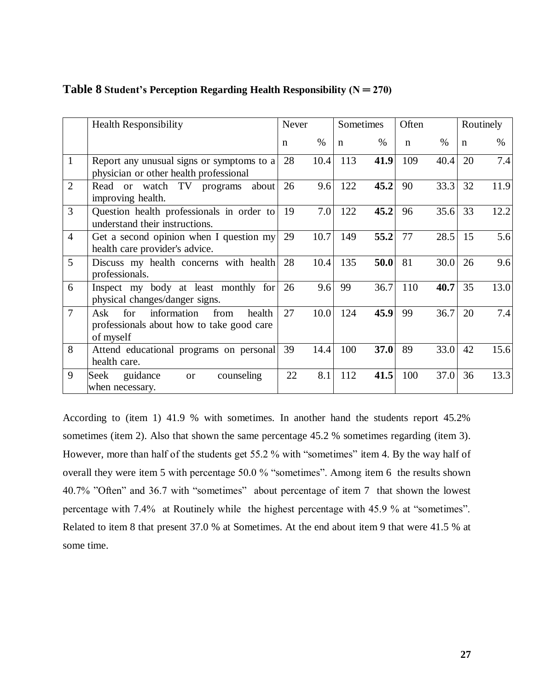|                | <b>Health Responsibility</b>                                                                          | Never |      | Sometimes   |      | Often       |      | Routinely |      |
|----------------|-------------------------------------------------------------------------------------------------------|-------|------|-------------|------|-------------|------|-----------|------|
|                |                                                                                                       | n     | $\%$ | $\mathbf n$ | $\%$ | $\mathbf n$ | $\%$ | n         | %    |
| $\mathbf{1}$   | Report any unusual signs or symptoms to a<br>physician or other health professional                   | 28    | 10.4 | 113         | 41.9 | 109         | 40.4 | 20        | 7.4  |
| $\overline{2}$ | Read or watch TV programs<br>about<br>improving health.                                               | 26    | 9.6  | 122         | 45.2 | 90          | 33.3 | 32        | 11.9 |
| 3              | Question health professionals in order to<br>understand their instructions.                           | 19    | 7.0  | 122         | 45.2 | 96          | 35.6 | 33        | 12.2 |
| $\overline{4}$ | Get a second opinion when I question my<br>health care provider's advice.                             | 29    | 10.7 | 149         | 55.2 | 77          | 28.5 | 15        | 5.6  |
| 5              | Discuss my health concerns with health<br>professionals.                                              | 28    | 10.4 | 135         | 50.0 | 81          | 30.0 | 26        | 9.6  |
| 6              | Inspect my body at least monthly for<br>physical changes/danger signs.                                | 26    | 9.6  | 99          | 36.7 | 110         | 40.7 | 35        | 13.0 |
| $\overline{7}$ | for<br>information<br>from<br>health<br>Ask<br>professionals about how to take good care<br>of myself | 27    | 10.0 | 124         | 45.9 | 99          | 36.7 | 20        | 7.4  |
| 8              | Attend educational programs on personal<br>health care.                                               | 39    | 14.4 | 100         | 37.0 | 89          | 33.0 | 42        | 15.6 |
| 9              | counseling<br>Seek<br>guidance<br><b>or</b><br>when necessary.                                        | 22    | 8.1  | 112         | 41.5 | 100         | 37.0 | 36        | 13.3 |

## **Table 8 Student's Perception Regarding Health Responsibility (N ═ 270)**

According to (item 1) 41.9 % with sometimes. In another hand the students report 45.2% sometimes (item 2). Also that shown the same percentage 45.2 % sometimes regarding (item 3). However, more than half of the students get 55.2 % with "sometimes" item 4. By the way half of overall they were item 5 with percentage 50.0 % "sometimes". Among item 6 the results shown 40.7% "Often" and 36.7 with "sometimes" about percentage of item 7 that shown the lowest percentage with 7.4% at Routinely while the highest percentage with 45.9 % at "sometimes". Related to item 8 that present 37.0 % at Sometimes. At the end about item 9 that were 41.5 % at some time.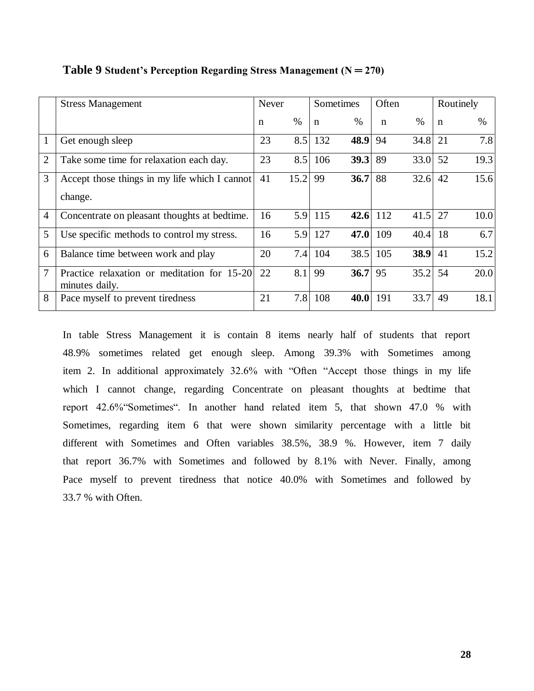|                | <b>Stress Management</b>                                      |    | <b>Never</b> | Sometimes   |          | Often       |      |             | Routinely |
|----------------|---------------------------------------------------------------|----|--------------|-------------|----------|-------------|------|-------------|-----------|
|                |                                                               | n  | $\%$         | $\mathbf n$ | $\%$     | $\mathbf n$ | $\%$ | $\mathbf n$ | $\%$      |
| 1              | Get enough sleep                                              | 23 | 8.5          | 132         | 48.9     | 94          | 34.8 | 21          | 7.8       |
| $\overline{2}$ | Take some time for relaxation each day.                       | 23 | 8.5          | 106         | 39.3     | 89          | 33.0 | 52          | 19.3      |
| 3              | Accept those things in my life which I cannot<br>change.      | 41 | 15.2         | 99          | 36.7     | 88          | 32.6 | 42          | 15.6      |
| $\overline{4}$ | Concentrate on pleasant thoughts at bedtime.                  | 16 | 5.9          | 115         | 42.6 112 |             | 41.5 | 27          | 10.0      |
| 5              | Use specific methods to control my stress.                    | 16 | 5.9          | 127         | 47.0     | 109         | 40.4 | 18          | 6.7       |
| 6              | Balance time between work and play                            | 20 | 7.4          | 104         | 38.5     | 105         | 38.9 | 41          | 15.2      |
| 7              | Practice relaxation or meditation for 15-20<br>minutes daily. | 22 | 8.1          | 99          | 36.7     | 95          | 35.2 | 54          | 20.0      |
| 8              | Pace myself to prevent tiredness                              | 21 | 7.8          | 108         | 40.0     | 191         | 33.7 | 49          | 18.1      |

**Table 9 Student's Perception Regarding Stress Management (N ═ 270)**

In table Stress Management it is contain 8 items nearly half of students that report 48.9% sometimes related get enough sleep. Among 39.3% with Sometimes among item 2. In additional approximately 32.6% with "Often "Accept those things in my life which I cannot change, regarding Concentrate on pleasant thoughts at bedtime that report 42.6%"Sometimes". In another hand related item 5, that shown 47.0 % with Sometimes, regarding item 6 that were shown similarity percentage with a little bit different with Sometimes and Often variables 38.5%, 38.9 %. However, item 7 daily that report 36.7% with Sometimes and followed by 8.1% with Never. Finally, among Pace myself to prevent tiredness that notice 40.0% with Sometimes and followed by 33.7 % with Often.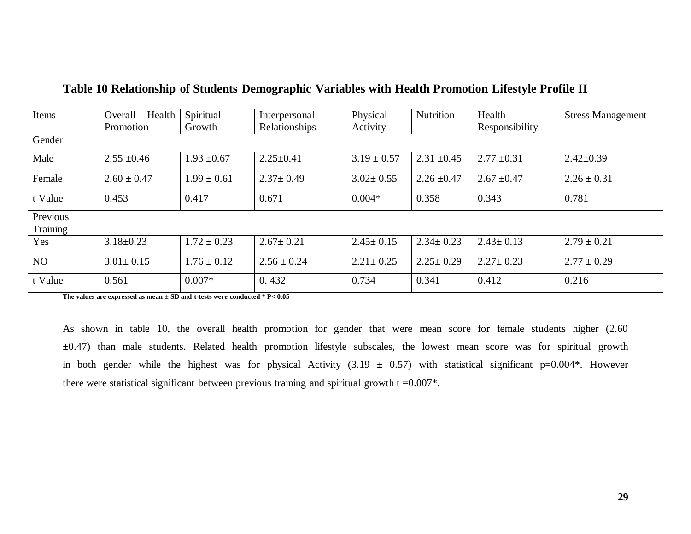| Items                | Overall<br>Health<br>Promotion | Spiritual<br>Growth | Interpersonal<br>Relationships | Physical<br>Activity | <b>Nutrition</b> | Health<br>Responsibility | <b>Stress Management</b> |  |
|----------------------|--------------------------------|---------------------|--------------------------------|----------------------|------------------|--------------------------|--------------------------|--|
| Gender               |                                |                     |                                |                      |                  |                          |                          |  |
| Male                 | $2.55 \pm 0.46$                | $1.93 \pm 0.67$     | $2.25 \pm 0.41$                | $3.19 \pm 0.57$      | $2.31 \pm 0.45$  | $2.77 \pm 0.31$          | $2.42 \pm 0.39$          |  |
| Female               | $2.60 \pm 0.47$                | $1.99 \pm 0.61$     | $2.37 \pm 0.49$                | $3.02 \pm 0.55$      | $2.26 \pm 0.47$  | $2.67 \pm 0.47$          | $2.26 \pm 0.31$          |  |
| t Value              | 0.453                          | 0.417               | 0.671                          | $0.004*$             | 0.358            | 0.343                    | 0.781                    |  |
| Previous<br>Training |                                |                     |                                |                      |                  |                          |                          |  |
| Yes                  | $3.18 \pm 0.23$                | $1.72 \pm 0.23$     | $2.67 \pm 0.21$                | $2.45 \pm 0.15$      | $2.34 \pm 0.23$  | $2.43 \pm 0.13$          | $2.79 \pm 0.21$          |  |
| <b>NO</b>            | $3.01 \pm 0.15$                | $1.76 \pm 0.12$     | $2.56 \pm 0.24$                | $2.21 \pm 0.25$      | $2.25 \pm 0.29$  | $2.27 \pm 0.23$          | $2.77 \pm 0.29$          |  |
| t Value              | 0.561                          | $0.007*$            | 0.432                          | 0.734                | 0.341            | 0.412                    | 0.216                    |  |

## **Table 10 Relationship of Students Demographic Variables with Health Promotion Lifestyle Profile II**

**The values are expressed as mean** ± **SD and t-tests were conducted \* P< 0.05**

As shown in table 10, the overall health promotion for gender that were mean score for female students higher (2.60 ±0.47) than male students. Related health promotion lifestyle subscales, the lowest mean score was for spiritual growth in both gender while the highest was for physical Activity (3.19  $\pm$  0.57) with statistical significant p=0.004\*. However there were statistical significant between previous training and spiritual growth  $t = 0.007$ .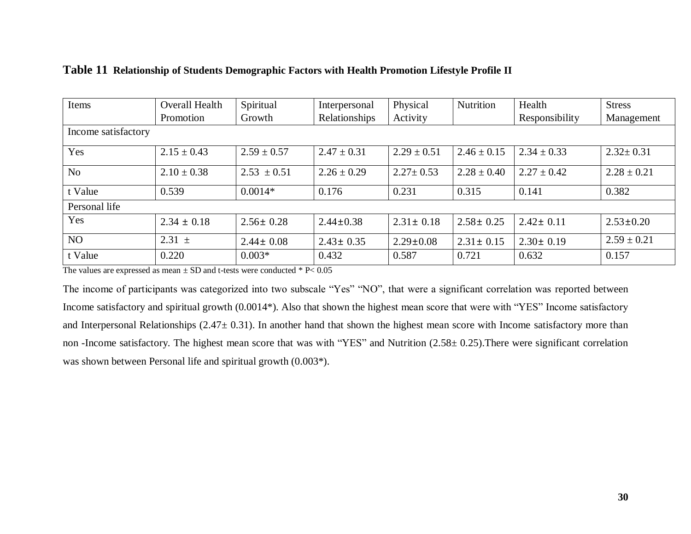| Items               | <b>Overall Health</b> | Spiritual       | Interpersonal   | Physical        | Nutrition       | Health          | <b>Stress</b>   |
|---------------------|-----------------------|-----------------|-----------------|-----------------|-----------------|-----------------|-----------------|
|                     | Promotion             | Growth          | Relationships   | Activity        |                 | Responsibility  | Management      |
| Income satisfactory |                       |                 |                 |                 |                 |                 |                 |
| Yes                 | $2.15 \pm 0.43$       | $2.59 \pm 0.57$ | $2.47 \pm 0.31$ | $2.29 \pm 0.51$ | $2.46 \pm 0.15$ | $2.34 \pm 0.33$ | $2.32 \pm 0.31$ |
| N <sub>o</sub>      | $2.10 \pm 0.38$       | $2.53 \pm 0.51$ | $2.26 \pm 0.29$ | $2.27 \pm 0.53$ | $2.28 \pm 0.40$ | $2.27 \pm 0.42$ | $2.28 \pm 0.21$ |
| t Value             | 0.539                 | $0.0014*$       | 0.176           | 0.231           | 0.315           | 0.141           | 0.382           |
| Personal life       |                       |                 |                 |                 |                 |                 |                 |
| Yes                 | $2.34 \pm 0.18$       | $2.56 \pm 0.28$ | $2.44 \pm 0.38$ | $2.31 \pm 0.18$ | $2.58 \pm 0.25$ | $2.42 \pm 0.11$ | $2.53 \pm 0.20$ |
| NO                  | $2.31 \pm$            | $2.44 \pm 0.08$ | $2.43 \pm 0.35$ | $2.29 \pm 0.08$ | $2.31 \pm 0.15$ | $2.30 \pm 0.19$ | $2.59 \pm 0.21$ |
| t Value             | 0.220                 | $0.003*$        | 0.432           | 0.587           | 0.721           | 0.632           | 0.157           |

## **Table 11 Relationship of Students Demographic Factors with Health Promotion Lifestyle Profile II**

The values are expressed as mean  $\pm$  SD and t-tests were conducted  $*$  P< 0.05

The income of participants was categorized into two subscale "Yes" "NO", that were a significant correlation was reported between Income satisfactory and spiritual growth (0.0014\*). Also that shown the highest mean score that were with "YES" Income satisfactory and Interpersonal Relationships (2.47± 0.31). In another hand that shown the highest mean score with Income satisfactory more than non -Income satisfactory. The highest mean score that was with "YES" and Nutrition (2.58± 0.25).There were significant correlation was shown between Personal life and spiritual growth (0.003\*).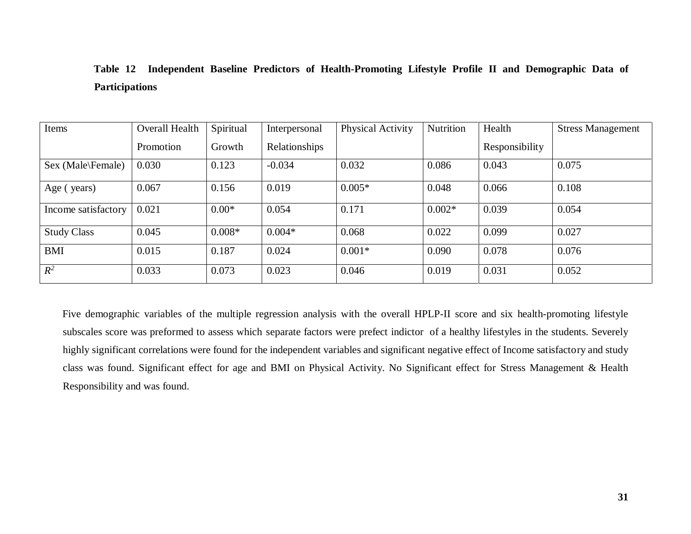# **Table 12 Independent Baseline Predictors of Health-Promoting Lifestyle Profile II and Demographic Data of Participations**

| Items               | Overall Health | Spiritual | Interpersonal | <b>Physical Activity</b> | Nutrition | Health         | <b>Stress Management</b> |
|---------------------|----------------|-----------|---------------|--------------------------|-----------|----------------|--------------------------|
|                     | Promotion      | Growth    | Relationships |                          |           | Responsibility |                          |
| Sex (Male\Female)   | 0.030          | 0.123     | $-0.034$      | 0.032                    | 0.086     | 0.043          | 0.075                    |
| Age (years)         | 0.067          | 0.156     | 0.019         | $0.005*$                 | 0.048     | 0.066          | 0.108                    |
| Income satisfactory | 0.021          | $0.00*$   | 0.054         | 0.171                    | $0.002*$  | 0.039          | 0.054                    |
| <b>Study Class</b>  | 0.045          | $0.008*$  | $0.004*$      | 0.068                    | 0.022     | 0.099          | 0.027                    |
| <b>BMI</b>          | 0.015          | 0.187     | 0.024         | $0.001*$                 | 0.090     | 0.078          | 0.076                    |
| $R^2$               | 0.033          | 0.073     | 0.023         | 0.046                    | 0.019     | 0.031          | 0.052                    |

Five demographic variables of the multiple regression analysis with the overall HPLP-II score and six health-promoting lifestyle subscales score was preformed to assess which separate factors were prefect indictor of a healthy lifestyles in the students. Severely highly significant correlations were found for the independent variables and significant negative effect of Income satisfactory and study class was found. Significant effect for age and BMI on Physical Activity. No Significant effect for Stress Management & Health Responsibility and was found.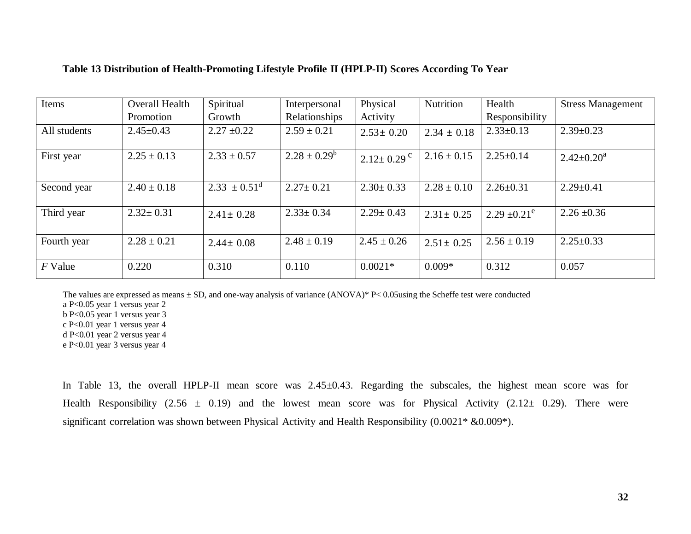| Items        | <b>Overall Health</b> | Spiritual                  | Interpersonal     | Physical                     | Nutrition       | Health            | <b>Stress Management</b> |
|--------------|-----------------------|----------------------------|-------------------|------------------------------|-----------------|-------------------|--------------------------|
|              | Promotion             | Growth                     | Relationships     | Activity                     |                 | Responsibility    |                          |
| All students | $2.45 \pm 0.43$       | $2.27 \pm 0.22$            | $2.59 \pm 0.21$   | $2.53 \pm 0.20$              | $2.34 \pm 0.18$ | $2.33 \pm 0.13$   | $2.39 \pm 0.23$          |
| First year   | $2.25 \pm 0.13$       | $2.33 \pm 0.57$            | $2.28 \pm 0.29^b$ | $2.12 \pm 0.29$ <sup>c</sup> | $2.16 \pm 0.15$ | $2.25 \pm 0.14$   | $2.42 \pm 0.20^a$        |
| Second year  | $2.40 \pm 0.18$       | $2.33 \pm 0.51^{\text{d}}$ | $2.27 \pm 0.21$   | $2.30 \pm 0.33$              | $2.28 \pm 0.10$ | $2.26 \pm 0.31$   | $2.29 \pm 0.41$          |
| Third year   | $2.32 \pm 0.31$       | $2.41 \pm 0.28$            | $2.33 \pm 0.34$   | $2.29 \pm 0.43$              | $2.31 \pm 0.25$ | $2.29 \pm 0.21^e$ | $2.26 \pm 0.36$          |
| Fourth year  | $2.28 \pm 0.21$       | $2.44 \pm 0.08$            | $2.48 \pm 0.19$   | $2.45 \pm 0.26$              | $2.51 \pm 0.25$ | $2.56 \pm 0.19$   | $2.25 \pm 0.33$          |
| $F$ Value    | 0.220                 | 0.310                      | 0.110             | $0.0021*$                    | $0.009*$        | 0.312             | 0.057                    |

#### **Table 13 Distribution of Health-Promoting Lifestyle Profile II (HPLP-II) Scores According To Year**

The values are expressed as means  $\pm$  SD, and one-way analysis of variance (ANOVA)\* P< 0.05using the Scheffe test were conducted

a P<0.05 year 1 versus year 2

b P<0.05 year 1 versus year 3

c P<0.01 year 1 versus year 4

d P<0.01 year 2 versus year 4

e P<0.01 year 3 versus year 4

In Table 13, the overall HPLP-II mean score was 2.45±0.43. Regarding the subscales, the highest mean score was for Health Responsibility (2.56  $\pm$  0.19) and the lowest mean score was for Physical Activity (2.12 $\pm$  0.29). There were significant correlation was shown between Physical Activity and Health Responsibility (0.0021\* &0.009\*).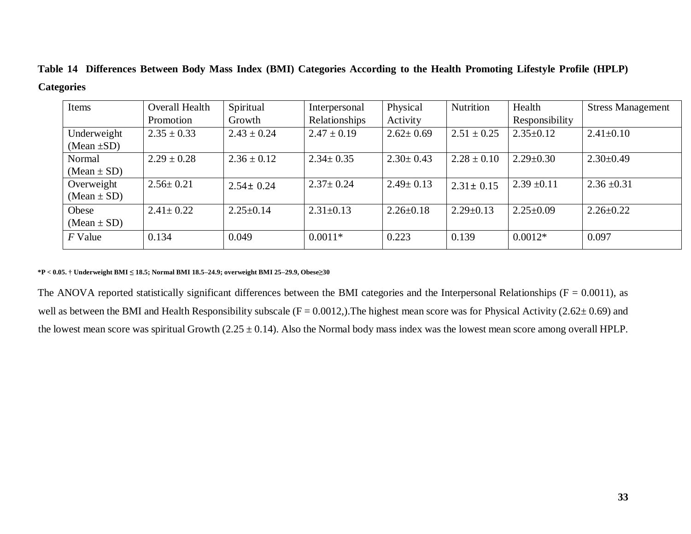|                   |  |  |  | Table 14 Differences Between Body Mass Index (BMI) Categories According to the Health Promoting Lifestyle Profile (HPLP) |  |
|-------------------|--|--|--|--------------------------------------------------------------------------------------------------------------------------|--|
| <b>Categories</b> |  |  |  |                                                                                                                          |  |

| Items            | Overall Health  | Spiritual       | Interpersonal   | Physical        | Nutrition       | Health          | <b>Stress Management</b> |
|------------------|-----------------|-----------------|-----------------|-----------------|-----------------|-----------------|--------------------------|
|                  | Promotion       | Growth          | Relationships   | Activity        |                 | Responsibility  |                          |
| Underweight      | $2.35 \pm 0.33$ | $2.43 \pm 0.24$ | $2.47 \pm 0.19$ | $2.62 \pm 0.69$ | $2.51 \pm 0.25$ | $2.35 \pm 0.12$ | $2.41 \pm 0.10$          |
| (Mean $\pm SD$ ) |                 |                 |                 |                 |                 |                 |                          |
| Normal           | $2.29 \pm 0.28$ | $2.36 \pm 0.12$ | $2.34 \pm 0.35$ | $2.30 \pm 0.43$ | $2.28 \pm 0.10$ | $2.29 \pm 0.30$ | $2.30\pm0.49$            |
| $(Mean \pm SD)$  |                 |                 |                 |                 |                 |                 |                          |
| Overweight       | $2.56 \pm 0.21$ | $2.54 \pm 0.24$ | $2.37 \pm 0.24$ | $2.49 \pm 0.13$ | $2.31 \pm 0.15$ | $2.39 \pm 0.11$ | $2.36 \pm 0.31$          |
| $(Mean \pm SD)$  |                 |                 |                 |                 |                 |                 |                          |
| Obese            | $2.41 \pm 0.22$ | $2.25 \pm 0.14$ | $2.31 \pm 0.13$ | $2.26 \pm 0.18$ | $2.29 \pm 0.13$ | $2.25 \pm 0.09$ | $2.26 \pm 0.22$          |
| $(Mean \pm SD)$  |                 |                 |                 |                 |                 |                 |                          |
| $F$ Value        | 0.134           | 0.049           | $0.0011*$       | 0.223           | 0.139           | $0.0012*$       | 0.097                    |
|                  |                 |                 |                 |                 |                 |                 |                          |

**\*P < 0.05. † Underweight BMI ≤ 18.5; Normal BMI 18.5–24.9; overweight BMI 25–29.9, Obese≥30**

The ANOVA reported statistically significant differences between the BMI categories and the Interpersonal Relationships ( $F = 0.0011$ ), as well as between the BMI and Health Responsibility subscale ( $F = 0.0012$ ). The highest mean score was for Physical Activity (2.62 $\pm$  0.69) and the lowest mean score was spiritual Growth  $(2.25 \pm 0.14)$ . Also the Normal body mass index was the lowest mean score among overall HPLP.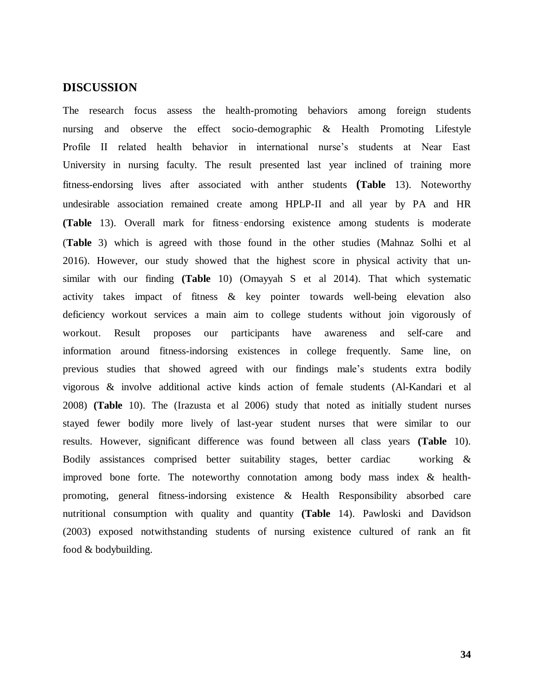### <span id="page-42-0"></span>**DISCUSSION**

The research focus assess the health-promoting behaviors among foreign students nursing and observe the effect socio-demographic & Health Promoting Lifestyle Profile II related health behavior in international nurse's students at Near East University in nursing faculty. The result presented last year inclined of training more fitness-endorsing lives after associated with anther students **(Table** 13). Noteworthy undesirable association remained create among HPLP-II and all year by PA and HR **(Table** 13). Overall mark for fitness‑endorsing existence among students is moderate (**Table** 3) which is agreed with those found in the other studies (Mahnaz Solhi et al 2016). However, our study showed that the highest score in physical activity that unsimilar with our finding **(Table** 10) (Omayyah S et al 2014). That which systematic activity takes impact of fitness & key pointer towards well-being elevation also deficiency workout services a main aim to college students without join vigorously of workout. Result proposes our participants have awareness and self-care and information around fitness-indorsing existences in college frequently. Same line, on previous studies that showed agreed with our findings male's students extra bodily vigorous & involve additional active kinds action of female students (Al-Kandari et al 2008) **(Table** 10). The (Irazusta et al 2006) study that noted as initially student nurses stayed fewer bodily more lively of last-year student nurses that were similar to our results. However, significant difference was found between all class years **(Table** 10). Bodily assistances comprised better suitability stages, better cardiac working & improved bone forte. The noteworthy connotation among body mass index & healthpromoting, general fitness-indorsing existence & Health Responsibility absorbed care nutritional consumption with quality and quantity **(Table** 14). Pawloski and Davidson (2003) exposed notwithstanding students of nursing existence cultured of rank an fit food & bodybuilding.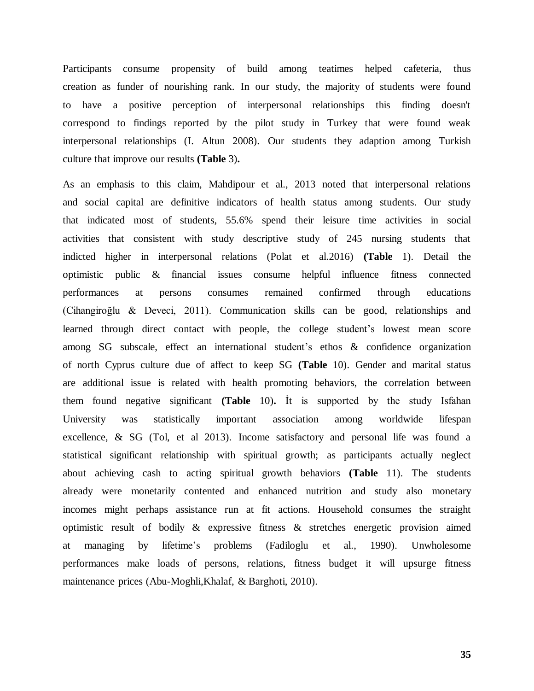Participants consume propensity of build among teatimes helped cafeteria, thus creation as funder of nourishing rank. In our study, the majority of students were found to have a positive perception of interpersonal relationships this finding doesn't correspond to findings reported by the pilot study in Turkey that were found weak interpersonal relationships (I. Altun 2008). Our students they adaption among Turkish culture that improve our results **(Table** 3)**.**

As an emphasis to this claim, Mahdipour et al., 2013 noted that interpersonal relations and social capital are definitive indicators of health status among students. Our study that indicated most of students, 55.6% spend their leisure time activities in social activities that consistent with study descriptive study of 245 nursing students that indicted higher in interpersonal relations (Polat et al.2016) **(Table** 1). Detail the optimistic public & financial issues consume helpful influence fitness connected performances at persons consumes remained confirmed through educations (Cihangiroğlu & Deveci, 2011). Communication skills can be good, relationships and learned through direct contact with people, the college student's lowest mean score among SG subscale, effect an international student's ethos & confidence organization of north Cyprus culture due of affect to keep SG **(Table** 10). Gender and marital status are additional issue is related with health promoting behaviors, the correlation between them found negative significant **(Table** 10)**.** İt is supported by the study Isfahan University was statistically important association among worldwide lifespan excellence, & SG (Tol, et al 2013). Income satisfactory and personal life was found a statistical significant relationship with spiritual growth; as participants actually neglect about achieving cash to acting spiritual growth behaviors **(Table** 11). The students already were monetarily contented and enhanced nutrition and study also monetary incomes might perhaps assistance run at fit actions. Household consumes the straight optimistic result of bodily & expressive fitness & stretches energetic provision aimed at managing by lifetime's problems (Fadiloglu et al., 1990). Unwholesome performances make loads of persons, relations, fitness budget it will upsurge fitness maintenance prices (Abu-Moghli,Khalaf, & Barghoti, 2010).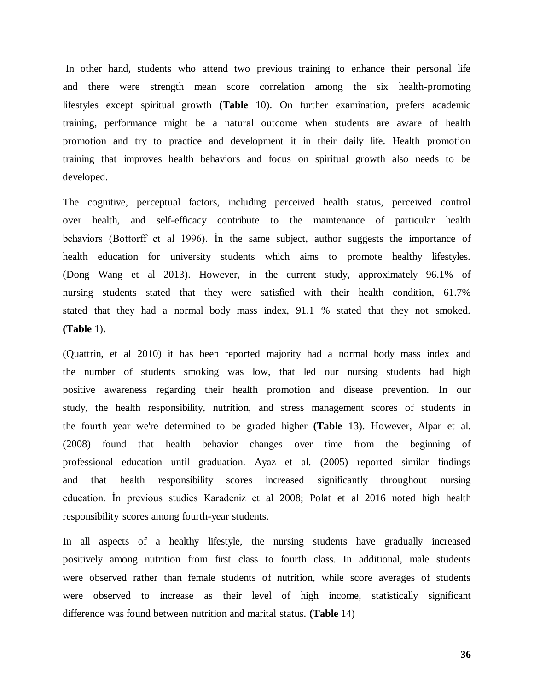In other hand, students who attend two previous training to enhance their personal life and there were strength mean score correlation among the six health-promoting lifestyles except spiritual growth **(Table** 10). On further examination, prefers academic training, performance might be a natural outcome when students are aware of health promotion and try to practice and development it in their daily life. Health promotion training that improves health behaviors and focus on spiritual growth also needs to be developed.

The cognitive, perceptual factors, including perceived health status, perceived control over health, and self-efficacy contribute to the maintenance of particular health behaviors (Bottorff et al 1996). İn the same subject, author suggests the importance of health education for university students which aims to promote healthy lifestyles. (Dong Wang et al 2013). However, in the current study, approximately 96.1% of nursing students stated that they were satisfied with their health condition, 61.7% stated that they had a normal body mass index, 91.1 % stated that they not smoked. **(Table** 1)**.**

(Quattrin, et al 2010) it has been reported majority had a normal body mass index and the number of students smoking was low, that led our nursing students had high positive awareness regarding their health promotion and disease prevention. In our study, the health responsibility, nutrition, and stress management scores of students in the fourth year we're determined to be graded higher **(Table** 13). However, Alpar et al. (2008) found that health behavior changes over time from the beginning of professional education until graduation. Ayaz et al. (2005) reported similar findings and that health responsibility scores increased significantly throughout nursing education. İn previous studies Karadeniz et al 2008; Polat et al 2016 noted high health responsibility scores among fourth-year students.

In all aspects of a healthy lifestyle, the nursing students have gradually increased positively among nutrition from first class to fourth class. In additional, male students were observed rather than female students of nutrition, while score averages of students were observed to increase as their level of high income, statistically significant difference was found between nutrition and marital status. **(Table** 14)

**36**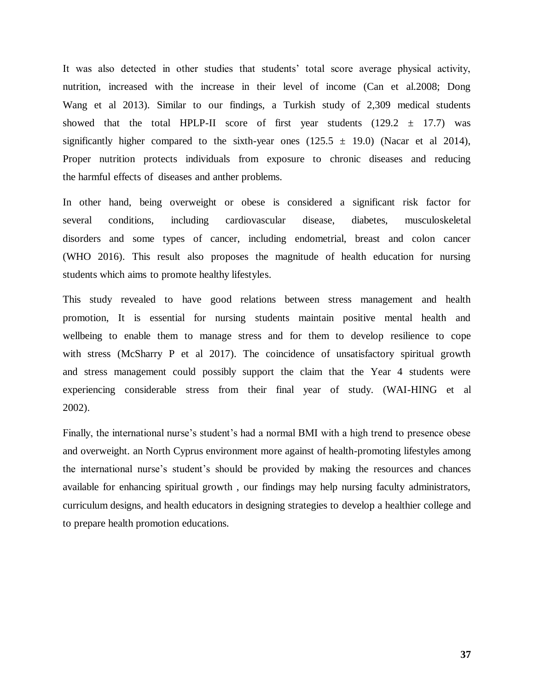It was also detected in other studies that students' total score average physical activity, nutrition, increased with the increase in their level of income (Can et al.2008; Dong Wang et al 2013). Similar to our findings, a Turkish study of 2,309 medical students showed that the total HPLP-II score of first year students  $(129.2 \pm 17.7)$  was significantly higher compared to the sixth-year ones  $(125.5 \pm 19.0)$  (Nacar et al 2014), Proper nutrition protects individuals from exposure to chronic diseases and reducing the harmful effects of diseases and anther problems.

In other hand, being overweight or obese is considered a significant risk factor for several conditions, including cardiovascular disease, diabetes, musculoskeletal disorders and some types of cancer, including endometrial, breast and colon cancer (WHO 2016). This result also proposes the magnitude of health education for nursing students which aims to promote healthy lifestyles.

This study revealed to have good relations between stress management and health promotion, It is essential for nursing students maintain positive mental health and wellbeing to enable them to manage stress and for them to develop resilience to cope with stress (McSharry P et al 2017). The coincidence of unsatisfactory spiritual growth and stress management could possibly support the claim that the Year 4 students were experiencing considerable stress from their final year of study. (WAI-HING et al 2002).

Finally, the international nurse's student's had a normal BMI with a high trend to presence obese and overweight. an North Cyprus environment more against of health-promoting lifestyles among the international nurse's student's should be provided by making the resources and chances available for enhancing spiritual growth , our findings may help nursing faculty administrators, curriculum designs, and health educators in designing strategies to develop a healthier college and to prepare health promotion educations.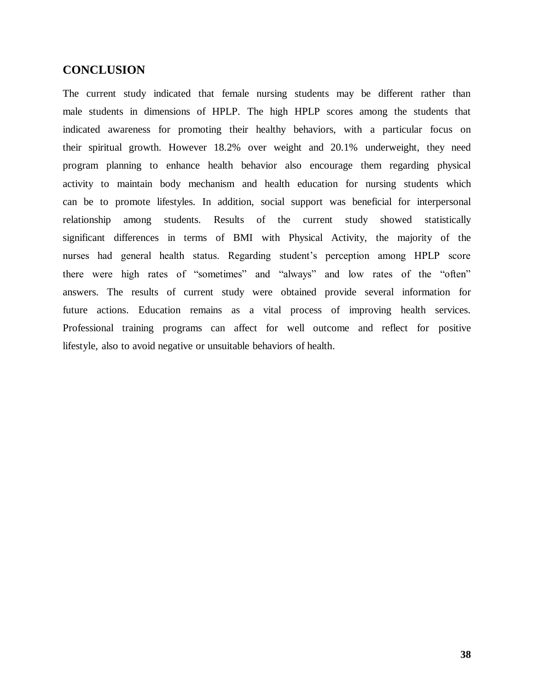## <span id="page-46-0"></span>**CONCLUSION**

The current study indicated that female nursing students may be different rather than male students in dimensions of HPLP. The high HPLP scores among the students that indicated awareness for promoting their healthy behaviors, with a particular focus on their spiritual growth. However 18.2% over weight and 20.1% underweight, they need program planning to enhance health behavior also encourage them regarding physical activity to maintain body mechanism and health education for nursing students which can be to promote lifestyles. In addition, social support was beneficial for interpersonal relationship among students. Results of the current study showed statistically significant differences in terms of BMI with Physical Activity, the majority of the nurses had general health status. Regarding student's perception among HPLP score there were high rates of "sometimes" and "always" and low rates of the "often" answers. The results of current study were obtained provide several information for future actions. Education remains as a vital process of improving health services. Professional training programs can affect for well outcome and reflect for positive lifestyle, also to avoid negative or unsuitable behaviors of health.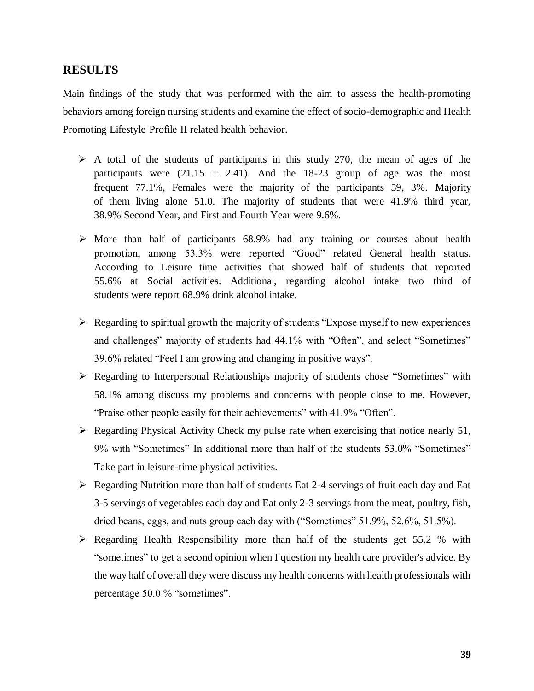## <span id="page-47-0"></span>**RESULTS**

Main findings of the study that was performed with the aim to assess the health-promoting behaviors among foreign nursing students and examine the effect of socio-demographic and Health Promoting Lifestyle Profile II related health behavior.

- $\triangleright$  A total of the students of participants in this study 270, the mean of ages of the participants were  $(21.15 \pm 2.41)$ . And the 18-23 group of age was the most frequent 77.1%, Females were the majority of the participants 59, 3%. Majority of them living alone 51.0. The majority of students that were 41.9% third year, 38.9% Second Year, and First and Fourth Year were 9.6%.
- $\triangleright$  More than half of participants 68.9% had any training or courses about health promotion, among 53.3% were reported "Good" related General health status. According to Leisure time activities that showed half of students that reported 55.6% at Social activities. Additional, regarding alcohol intake two third of students were report 68.9% drink alcohol intake.
- $\triangleright$  Regarding to spiritual growth the majority of students "Expose myself to new experiences" and challenges" majority of students had 44.1% with "Often", and select "Sometimes" 39.6% related "Feel I am growing and changing in positive ways".
- Regarding to Interpersonal Relationships majority of students chose "Sometimes" with 58.1% among discuss my problems and concerns with people close to me. However, "Praise other people easily for their achievements" with 41.9% "Often".
- $\triangleright$  Regarding Physical Activity Check my pulse rate when exercising that notice nearly 51, 9% with "Sometimes" In additional more than half of the students 53.0% "Sometimes" Take part in leisure-time physical activities.
- $\triangleright$  Regarding Nutrition more than half of students Eat 2-4 servings of fruit each day and Eat 3-5 servings of vegetables each day and Eat only 2-3 servings from the meat, poultry, fish, dried beans, eggs, and nuts group each day with ("Sometimes" 51.9%, 52.6%, 51.5%).
- $\triangleright$  Regarding Health Responsibility more than half of the students get 55.2 % with "sometimes" to get a second opinion when I question my health care provider's advice. By the way half of overall they were discuss my health concerns with health professionals with percentage 50.0 % "sometimes".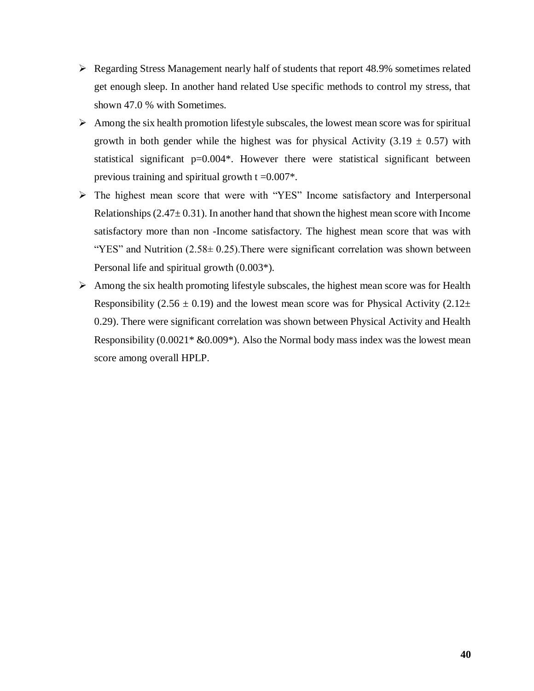- Regarding Stress Management nearly half of students that report 48.9% sometimes related get enough sleep. In another hand related Use specific methods to control my stress, that shown 47.0 % with Sometimes.
- $\triangleright$  Among the six health promotion lifestyle subscales, the lowest mean score was for spiritual growth in both gender while the highest was for physical Activity (3.19  $\pm$  0.57) with statistical significant  $p=0.004$ <sup>\*</sup>. However there were statistical significant between previous training and spiritual growth  $t = 0.007$ <sup>\*</sup>.
- The highest mean score that were with "YES" Income satisfactory and Interpersonal Relationships ( $2.47 \pm 0.31$ ). In another hand that shown the highest mean score with Income satisfactory more than non -Income satisfactory. The highest mean score that was with "YES" and Nutrition  $(2.58 \pm 0.25)$ . There were significant correlation was shown between Personal life and spiritual growth (0.003\*).
- $\triangleright$  Among the six health promoting lifestyle subscales, the highest mean score was for Health Responsibility (2.56  $\pm$  0.19) and the lowest mean score was for Physical Activity (2.12 $\pm$ 0.29). There were significant correlation was shown between Physical Activity and Health Responsibility  $(0.0021^* \& 0.009^*)$ . Also the Normal body mass index was the lowest mean score among overall HPLP.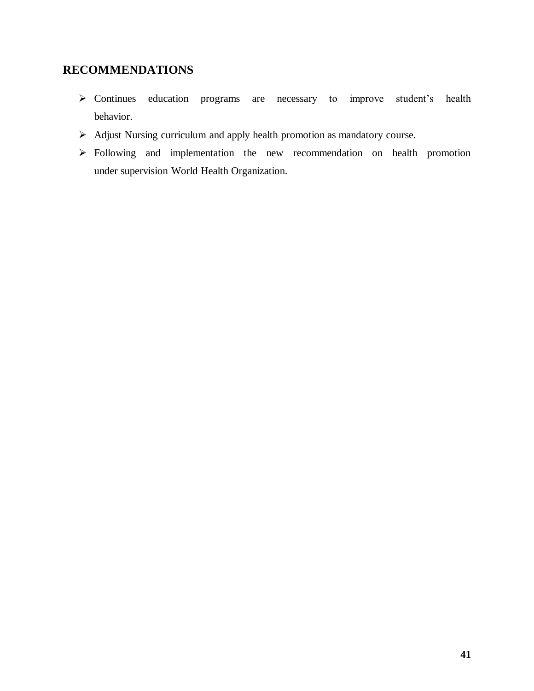# <span id="page-49-0"></span>**RECOMMENDATIONS**

- Continues education programs are necessary to improve student's health behavior.
- Adjust Nursing curriculum and apply health promotion as mandatory course.
- Following and implementation the new recommendation on health promotion under supervision World Health Organization.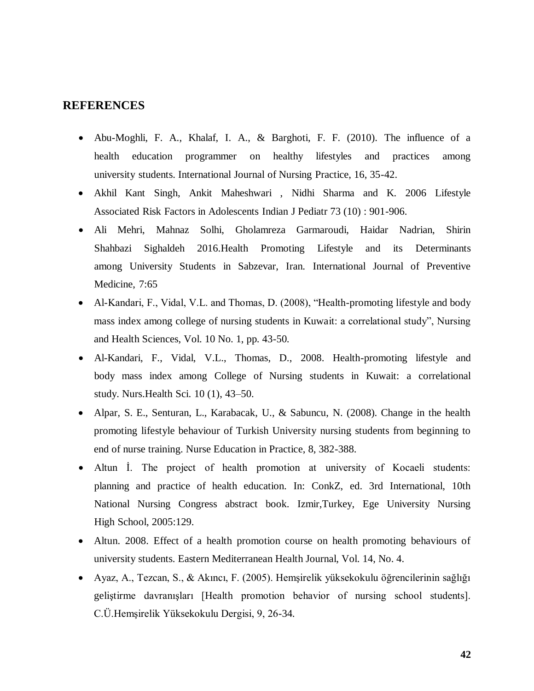## <span id="page-50-0"></span>**REFERENCES**

- Abu-Moghli, F. A., Khalaf, I. A., & Barghoti, F. F. (2010). The influence of a health education programmer on healthy lifestyles and practices among university students. International Journal of Nursing Practice, 16, 35-42.
- Akhil Kant Singh, Ankit Maheshwari , Nidhi Sharma and K. 2006 Lifestyle Associated Risk Factors in Adolescents Indian J Pediatr 73 (10) : 901-906.
- Ali Mehri, Mahnaz Solhi, Gholamreza Garmaroudi, Haidar Nadrian, Shirin Shahbazi Sighaldeh 2016.Health Promoting Lifestyle and its Determinants among University Students in Sabzevar, Iran. International Journal of Preventive Medicine, 7:65
- Al-Kandari, F., Vidal, V.L. and Thomas, D. (2008), "Health-promoting lifestyle and body mass index among college of nursing students in Kuwait: a correlational study", Nursing and Health Sciences, Vol. 10 No. 1, pp. 43-50.
- Al-Kandari, F., Vidal, V.L., Thomas, D., 2008. Health-promoting lifestyle and body mass index among College of Nursing students in Kuwait: a correlational study. Nurs.Health Sci. 10 (1), 43–50.
- Alpar, S. E., Senturan, L., Karabacak, U., & Sabuncu, N. (2008). Change in the health promoting lifestyle behaviour of Turkish University nursing students from beginning to end of nurse training. Nurse Education in Practice, 8, 382-388.
- Altun İ. The project of health promotion at university of Kocaeli students: planning and practice of health education. In: ConkZ, ed. 3rd International, 10th National Nursing Congress abstract book. Izmir,Turkey, Ege University Nursing High School, 2005:129.
- Altun. 2008. Effect of a health promotion course on health promoting behaviours of university students. Eastern Mediterranean Health Journal, Vol. 14, No. 4.
- Ayaz, A., Tezcan, S., & Akıncı, F. (2005). Hemşirelik yüksekokulu öğrencilerinin sağlığı geliştirme davranışları [Health promotion behavior of nursing school students]. C.Ü.Hemşirelik Yüksekokulu Dergisi, 9, 26-34.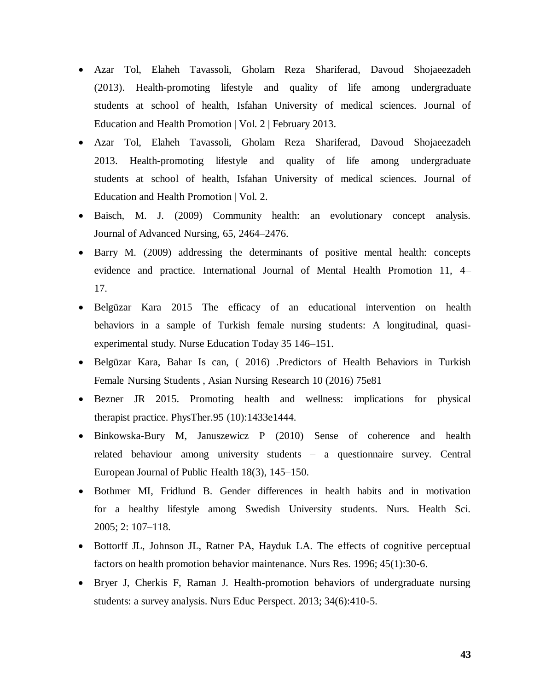- Azar Tol, Elaheh Tavassoli, Gholam Reza Shariferad, Davoud Shojaeezadeh (2013). Health-promoting lifestyle and quality of life among undergraduate students at school of health, Isfahan University of medical sciences. Journal of Education and Health Promotion | Vol. 2 | February 2013.
- Azar Tol, Elaheh Tavassoli, Gholam Reza Shariferad, Davoud Shojaeezadeh 2013. Health-promoting lifestyle and quality of life among undergraduate students at school of health, Isfahan University of medical sciences. Journal of Education and Health Promotion | Vol. 2.
- Baisch, M. J. (2009) Community health: an evolutionary concept analysis. Journal of Advanced Nursing, 65, 2464–2476.
- Barry M. (2009) addressing the determinants of positive mental health: concepts evidence and practice. International Journal of Mental Health Promotion 11, 4– 17.
- Belgüzar Kara 2015 The efficacy of an educational intervention on health behaviors in a sample of Turkish female nursing students: A longitudinal, quasiexperimental study. Nurse Education Today 35 146–151.
- Belgüzar Kara, Bahar Is can, ( 2016) .Predictors of Health Behaviors in Turkish Female Nursing Students , Asian Nursing Research 10 (2016) 75e81
- Bezner JR 2015. Promoting health and wellness: implications for physical therapist practice. PhysTher.95 (10):1433e1444.
- Binkowska-Bury M, Januszewicz P (2010) Sense of coherence and health related behaviour among university students – a questionnaire survey. Central European Journal of Public Health 18(3), 145–150.
- Bothmer MI, Fridlund B. Gender differences in health habits and in motivation for a healthy lifestyle among Swedish University students. Nurs. Health Sci. 2005; 2: 107–118.
- Bottorff JL, Johnson JL, Ratner PA, Hayduk LA. The effects of cognitive perceptual factors on health promotion behavior maintenance. Nurs Res. 1996; 45(1):30-6.
- Bryer J, Cherkis F, Raman J. Health-promotion behaviors of undergraduate nursing students: a survey analysis. Nurs Educ Perspect. 2013; 34(6):410-5.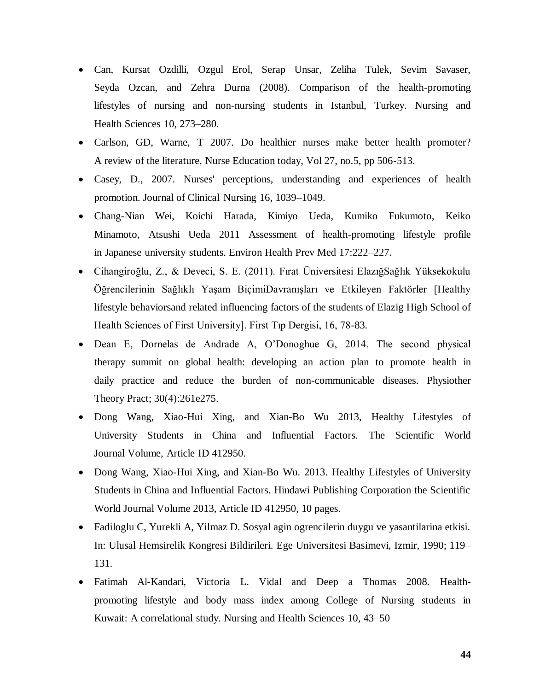- Can, Kursat Ozdilli, Ozgul Erol, Serap Unsar, Zeliha Tulek, Sevim Savaser, Seyda Ozcan, and Zehra Durna (2008). Comparison of the health-promoting lifestyles of nursing and non-nursing students in Istanbul, Turkey. Nursing and Health Sciences 10, 273–280.
- Carlson, GD, Warne, T 2007. Do healthier nurses make better health promoter? A review of the literature, Nurse Education today, Vol 27, no.5, pp 506-513.
- Casey, D., 2007. Nurses' perceptions, understanding and experiences of health promotion. Journal of Clinical Nursing 16, 1039–1049.
- Chang-Nian Wei, Koichi Harada, Kimiyo Ueda, Kumiko Fukumoto, Keiko Minamoto, Atsushi Ueda 2011 Assessment of health-promoting lifestyle profile in Japanese university students. Environ Health Prev Med 17:222–227.
- Cihangiroğlu, Z., & Deveci, S. E. (2011). Fırat Üniversitesi ElazığSağlık Yüksekokulu Öğrencilerinin Sağlıklı Yaşam BiçimiDavranışları ve Etkileyen Faktörler [Healthy lifestyle behaviorsand related influencing factors of the students of Elazig High School of Health Sciences of First University]. First Tıp Dergisi, 16, 78-83.
- Dean E, Dornelas de Andrade A, O'Donoghue G, 2014. The second physical therapy summit on global health: developing an action plan to promote health in daily practice and reduce the burden of non-communicable diseases. Physiother Theory Pract; 30(4):261e275.
- Dong Wang, Xiao-Hui Xing, and Xian-Bo Wu 2013, Healthy Lifestyles of University Students in China and Influential Factors. The Scientific World Journal Volume, Article ID 412950.
- Dong Wang, Xiao-Hui Xing, and Xian-Bo Wu. 2013. Healthy Lifestyles of University Students in China and Influential Factors. Hindawi Publishing Corporation the Scientific World Journal Volume 2013, Article ID 412950, 10 pages.
- Fadiloglu C, Yurekli A, Yilmaz D. Sosyal agin ogrencilerin duygu ve yasantilarina etkisi. In: Ulusal Hemsirelik Kongresi Bildirileri. Ege Universitesi Basimevi, Izmir, 1990; 119– 131.
- Fatimah Al-Kandari, Victoria L. Vidal and Deep a Thomas 2008. Healthpromoting lifestyle and body mass index among College of Nursing students in Kuwait: A correlational study. Nursing and Health Sciences 10, 43–50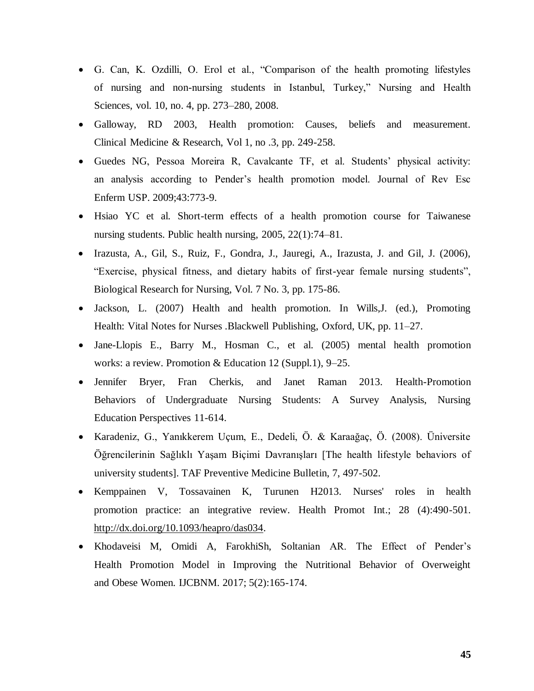- G. Can, K. Ozdilli, O. Erol et al., "Comparison of the health promoting lifestyles of nursing and non-nursing students in Istanbul, Turkey," Nursing and Health Sciences, vol. 10, no. 4, pp. 273–280, 2008.
- Galloway, RD 2003, Health promotion: Causes, beliefs and measurement. Clinical Medicine & Research, Vol 1, no .3, pp. 249-258.
- Guedes NG, Pessoa Moreira R, Cavalcante TF, et al. Students' physical activity: an analysis according to Pender's health promotion model. Journal of Rev Esc Enferm USP. 2009;43:773-9.
- Hsiao YC et al. Short-term effects of a health promotion course for Taiwanese nursing students. Public health nursing, 2005, 22(1):74–81.
- Irazusta, A., Gil, S., Ruiz, F., Gondra, J., Jauregi, A., Irazusta, J. and Gil, J. (2006), "Exercise, physical fitness, and dietary habits of first-year female nursing students", Biological Research for Nursing, Vol. 7 No. 3, pp. 175-86.
- Jackson, L. (2007) Health and health promotion. In Wills, J. (ed.), Promoting Health: Vital Notes for Nurses .Blackwell Publishing, Oxford, UK, pp. 11–27.
- Jane-Llopis E., Barry M., Hosman C., et al. (2005) mental health promotion works: a review. Promotion & Education 12 (Suppl.1), 9–25.
- Jennifer Bryer, Fran Cherkis, and Janet Raman 2013. Health-Promotion Behaviors of Undergraduate Nursing Students: A Survey Analysis, Nursing Education Perspectives 11-614.
- Karadeniz, G., Yanıkkerem Uçum, E., Dedeli, Ö. & Karaağaç, Ö. (2008). Üniversite Öğrencilerinin Sağlıklı Yaşam Biçimi Davranışları [The health lifestyle behaviors of university students]. TAF Preventive Medicine Bulletin, 7, 497-502.
- Kemppainen V, Tossavainen K, Turunen H2013. Nurses' roles in health promotion practice: an integrative review. Health Promot Int.; 28 (4):490-501. [http://dx.doi.org/10.1093/heapro/das034.](http://dx.doi.org/10.1093/heapro/das034)
- Khodaveisi M, Omidi A, FarokhiSh, Soltanian AR. The Effect of Pender's Health Promotion Model in Improving the Nutritional Behavior of Overweight and Obese Women. IJCBNM. 2017; 5(2):165-174.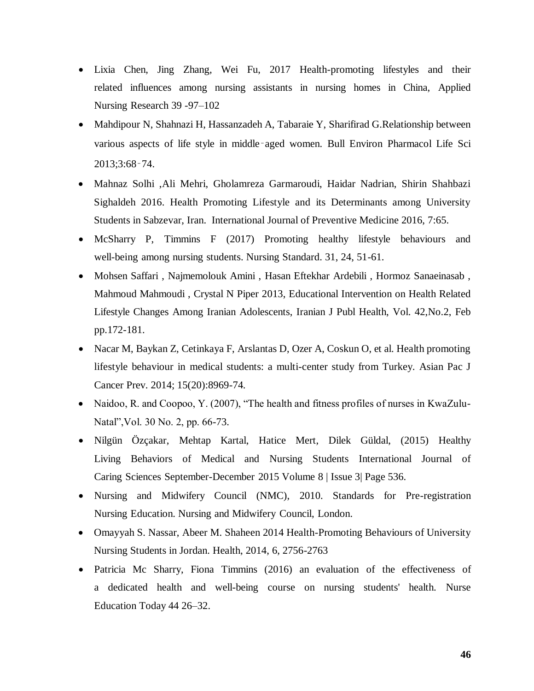- Lixia Chen, Jing Zhang, Wei Fu, 2017 Health-promoting lifestyles and their related influences among nursing assistants in nursing homes in China, Applied Nursing Research 39 -97–102
- Mahdipour N, Shahnazi H, Hassanzadeh A, Tabaraie Y, Sharifirad G.Relationship between various aspects of life style in middle‑aged women. Bull Environ Pharmacol Life Sci 2013;3:68‑74.
- Mahnaz Solhi ,Ali Mehri, Gholamreza Garmaroudi, Haidar Nadrian, Shirin Shahbazi Sighaldeh 2016. Health Promoting Lifestyle and its Determinants among University Students in Sabzevar, Iran. International Journal of Preventive Medicine 2016, 7:65.
- McSharry P, Timmins F (2017) Promoting healthy lifestyle behaviours and well-being among nursing students. Nursing Standard. 31, 24, 51-61.
- Mohsen Saffari , Najmemolouk Amini , Hasan Eftekhar Ardebili , Hormoz Sanaeinasab , Mahmoud Mahmoudi , Crystal N Piper 2013, Educational Intervention on Health Related Lifestyle Changes Among Iranian Adolescents, Iranian J Publ Health, Vol. 42,No.2, Feb pp.172-181.
- Nacar M, Baykan Z, Cetinkaya F, Arslantas D, Ozer A, Coskun O, et al. Health promoting lifestyle behaviour in medical students: a multi-center study from Turkey. Asian Pac J Cancer Prev. 2014; 15(20):8969-74.
- Naidoo, R. and Coopoo, Y. (2007), "The health and fitness profiles of nurses in KwaZulu-Natal",Vol. 30 No. 2, pp. 66-73.
- Nilgün Özçakar, Mehtap Kartal, Hatice Mert, Dilek Güldal, (2015) Healthy Living Behaviors of Medical and Nursing Students International Journal of Caring Sciences September-December 2015 Volume 8 | Issue 3| Page 536.
- Nursing and Midwifery Council (NMC), 2010. Standards for Pre-registration Nursing Education. Nursing and Midwifery Council, London.
- Omayyah S. Nassar, Abeer M. Shaheen 2014 Health-Promoting Behaviours of University Nursing Students in Jordan. Health, 2014, 6, 2756-2763
- Patricia Mc Sharry, Fiona Timmins (2016) an evaluation of the effectiveness of a dedicated health and well-being course on nursing students' health. Nurse Education Today 44 26–32.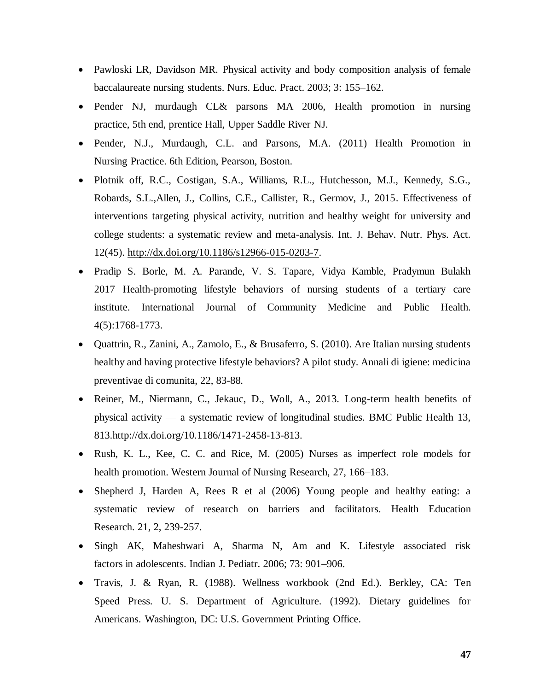- Pawloski LR, Davidson MR. Physical activity and body composition analysis of female baccalaureate nursing students. Nurs. Educ. Pract. 2003; 3: 155–162.
- Pender NJ, murdaugh CL& parsons MA 2006, Health promotion in nursing practice, 5th end, prentice Hall, Upper Saddle River NJ.
- Pender, N.J., Murdaugh, C.L. and Parsons, M.A. (2011) Health Promotion in Nursing Practice. 6th Edition, Pearson, Boston.
- Plotnik off, R.C., Costigan, S.A., Williams, R.L., Hutchesson, M.J., Kennedy, S.G., Robards, S.L.,Allen, J., Collins, C.E., Callister, R., Germov, J., 2015. Effectiveness of interventions targeting physical activity, nutrition and healthy weight for university and college students: a systematic review and meta-analysis. Int. J. Behav. Nutr. Phys. Act. 12(45). [http://dx.doi.org/10.1186/s12966-015-0203-7.](http://dx.doi.org/10.1186/s12966-015-0203-7)
- Pradip S. Borle, M. A. Parande, V. S. Tapare, Vidya Kamble, Pradymun Bulakh 2017 Health-promoting lifestyle behaviors of nursing students of a tertiary care institute. International Journal of Community Medicine and Public Health. 4(5):1768-1773.
- Quattrin, R., Zanini, A., Zamolo, E., & Brusaferro, S. (2010). Are Italian nursing students healthy and having protective lifestyle behaviors? A pilot study. Annali di igiene: medicina preventivae di comunita, 22, 83-88.
- Reiner, M., Niermann, C., Jekauc, D., Woll, A., 2013. Long-term health benefits of physical activity — a systematic review of longitudinal studies. BMC Public Health 13, 813.http://dx.doi.org/10.1186/1471-2458-13-813.
- Rush, K. L., Kee, C. C. and Rice, M. (2005) Nurses as imperfect role models for health promotion. Western Journal of Nursing Research, 27, 166–183.
- Shepherd J, Harden A, Rees R et al (2006) Young people and healthy eating: a systematic review of research on barriers and facilitators. Health Education Research. 21, 2, 239-257.
- Singh AK, Maheshwari A, Sharma N, Am and K. Lifestyle associated risk factors in adolescents. Indian J. Pediatr. 2006; 73: 901–906.
- Travis, J. & Ryan, R. (1988). Wellness workbook (2nd Ed.). Berkley, CA: Ten Speed Press. U. S. Department of Agriculture. (1992). Dietary guidelines for Americans. Washington, DC: U.S. Government Printing Office.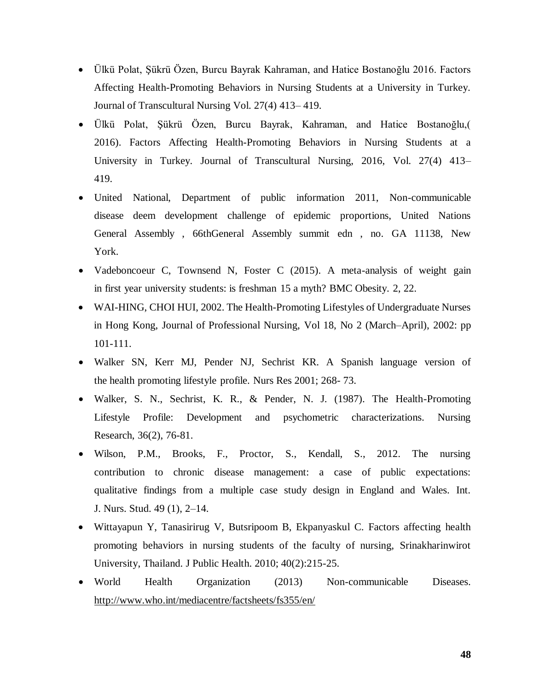- Ülkü Polat, Şükrü Özen, Burcu Bayrak Kahraman, and Hatice Bostanoğlu 2016. Factors Affecting Health-Promoting Behaviors in Nursing Students at a University in Turkey. Journal of Transcultural Nursing Vol. 27(4) 413– 419.
- Ülkü Polat, Şükrü Özen, Burcu Bayrak, Kahraman, and Hatice Bostanoğlu,( 2016). Factors Affecting Health-Promoting Behaviors in Nursing Students at a University in Turkey. Journal of Transcultural Nursing, 2016, Vol. 27(4) 413– 419.
- United National, Department of public information 2011, Non-communicable disease deem development challenge of epidemic proportions, United Nations General Assembly , 66thGeneral Assembly summit edn , no. GA 11138, New York.
- Vadeboncoeur C, Townsend N, Foster C (2015). A meta-analysis of weight gain in first year university students: is freshman 15 a myth? BMC Obesity. 2, 22.
- WAI-HING, CHOI HUI, 2002. The Health-Promoting Lifestyles of Undergraduate Nurses in Hong Kong, Journal of Professional Nursing, Vol 18, No 2 (March–April), 2002: pp 101-111.
- Walker SN, Kerr MJ, Pender NJ, Sechrist KR. A Spanish language version of the health promoting lifestyle profile. Nurs Res 2001; 268- 73.
- Walker, S. N., Sechrist, K. R., & Pender, N. J. (1987). The Health-Promoting Lifestyle Profile: Development and psychometric characterizations. Nursing Research, 36(2), 76-81.
- Wilson, P.M., Brooks, F., Proctor, S., Kendall, S., 2012. The nursing contribution to chronic disease management: a case of public expectations: qualitative findings from a multiple case study design in England and Wales. Int. J. Nurs. Stud. 49 (1), 2–14.
- Wittayapun Y, Tanasirirug V, Butsripoom B, Ekpanyaskul C. Factors affecting health promoting behaviors in nursing students of the faculty of nursing, Srinakharinwirot University, Thailand. J Public Health. 2010; 40(2):215-25.
- World Health Organization (2013) Non-communicable Diseases. <http://www.who.int/mediacentre/factsheets/fs355/en/>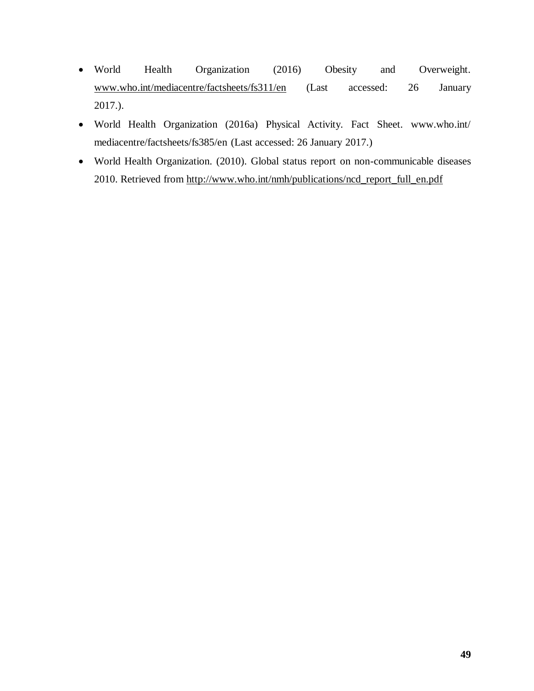- World Health Organization (2016) Obesity and Overweight. [www.who.int/mediacentre/factsheets/fs311/en](http://www.who.int/mediacentre/factsheets/fs311/en) (Last accessed: 26 January 2017.).
- World Health Organization (2016a) Physical Activity. Fact Sheet. www.who.int/ mediacentre/factsheets/fs385/en (Last accessed: 26 January 2017.)
- World Health Organization. (2010). Global status report on non-communicable diseases 2010. Retrieved from [http://www.who.int/nmh/publications/ncd\\_report\\_full\\_en.pdf](http://www.who.int/nmh/publications/ncd_report_full_en.pdf)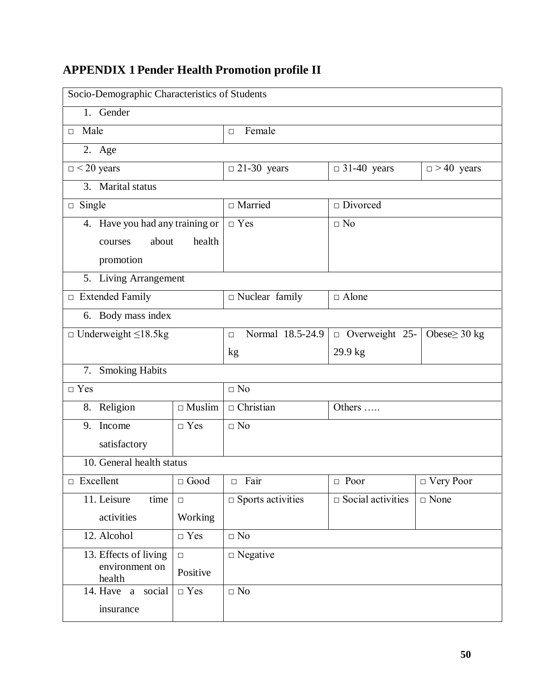# <span id="page-58-0"></span>**APPENDIX 1 Pender Health Promotion profile II**

|                                                    | Socio-Demographic Characteristics of Students |                            |                             |                    |  |  |  |  |  |
|----------------------------------------------------|-----------------------------------------------|----------------------------|-----------------------------|--------------------|--|--|--|--|--|
| 1. Gender                                          |                                               |                            |                             |                    |  |  |  |  |  |
| Male<br>П.                                         |                                               | Female<br>$\Box$           |                             |                    |  |  |  |  |  |
| $\overline{2}$ . Age                               |                                               |                            |                             |                    |  |  |  |  |  |
| $\Box$ < 20 years                                  |                                               | $\Box$ 21-30 years         | $\Box$ 31-40 years          | $\Box$ > 40 years  |  |  |  |  |  |
| 3. Marital status                                  |                                               |                            |                             |                    |  |  |  |  |  |
| $\Box$ Single                                      |                                               | $\Box$ Married             | $\square$ Divorced          |                    |  |  |  |  |  |
| 4. Have you had any training or                    |                                               | $\Box$ Yes                 | $\Box$ No                   |                    |  |  |  |  |  |
| about<br>courses                                   |                                               |                            |                             |                    |  |  |  |  |  |
| promotion                                          |                                               |                            |                             |                    |  |  |  |  |  |
| 5. Living Arrangement                              |                                               |                            |                             |                    |  |  |  |  |  |
| $\Box$ Extended Family                             |                                               | $\Box$ Nuclear family      | $\Box$ Alone                |                    |  |  |  |  |  |
| 6. Body mass index                                 |                                               |                            |                             |                    |  |  |  |  |  |
| $\Box$ Underweight $\leq$ 18.5kg                   |                                               | Normal 18.5-24.9<br>$\Box$ | $\Box$ Overweight 25-       | Obese $\geq$ 30 kg |  |  |  |  |  |
|                                                    |                                               | kg                         | 29.9 kg                     |                    |  |  |  |  |  |
| 7. Smoking Habits                                  |                                               |                            |                             |                    |  |  |  |  |  |
| $\Box$ Yes                                         |                                               | $\Box$ No                  |                             |                    |  |  |  |  |  |
| 8. Religion                                        | $\Box$ Muslim                                 | $\Box$ Christian           | Others                      |                    |  |  |  |  |  |
| 9. Income                                          | $\Box$ Yes                                    | $\Box$ No                  |                             |                    |  |  |  |  |  |
| satisfactory                                       |                                               |                            |                             |                    |  |  |  |  |  |
| 10. General health status                          |                                               |                            |                             |                    |  |  |  |  |  |
| $\Box$ Excellent                                   | $\Box$ Good                                   | $\Box$ Fair                | $\Box$ Poor                 | $\Box$ Very Poor   |  |  |  |  |  |
| 11. Leisure<br>time                                | $\Box$                                        | $\Box$ Sports activities   | $\square$ Social activities | $\square$ None     |  |  |  |  |  |
| activities                                         | Working                                       |                            |                             |                    |  |  |  |  |  |
| 12. Alcohol                                        | $\hfill \Box$<br>Yes                          | $\Box$ No                  |                             |                    |  |  |  |  |  |
| 13. Effects of living<br>$\Box$ Negative<br>$\Box$ |                                               |                            |                             |                    |  |  |  |  |  |
| environment on<br>health                           | Positive                                      |                            |                             |                    |  |  |  |  |  |
| 14. Have a social                                  | $\Box$ Yes                                    | $\Box$ No                  |                             |                    |  |  |  |  |  |
| insurance                                          |                                               |                            |                             |                    |  |  |  |  |  |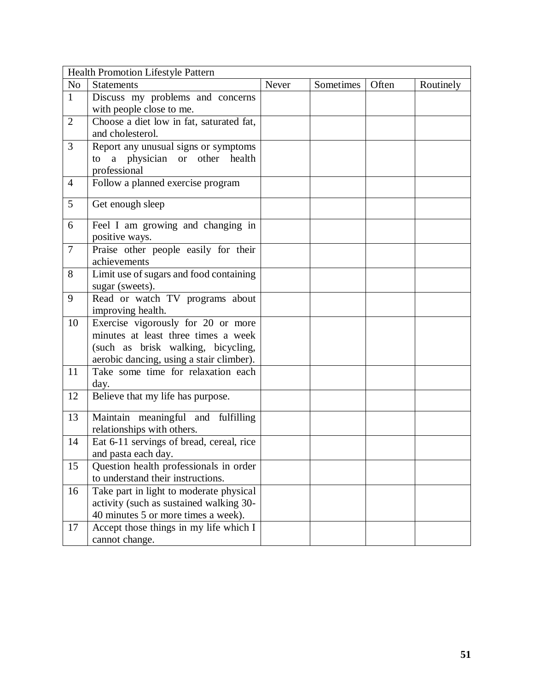|                | Health Promotion Lifestyle Pattern                                                                                                                          |       |           |       |           |
|----------------|-------------------------------------------------------------------------------------------------------------------------------------------------------------|-------|-----------|-------|-----------|
| N <sub>o</sub> | <b>Statements</b>                                                                                                                                           | Never | Sometimes | Often | Routinely |
| $\mathbf{1}$   | Discuss my problems and concerns<br>with people close to me.                                                                                                |       |           |       |           |
| $\overline{2}$ | Choose a diet low in fat, saturated fat,<br>and cholesterol.                                                                                                |       |           |       |           |
| 3              | Report any unusual signs or symptoms<br>a physician or other health<br>to<br>professional                                                                   |       |           |       |           |
| $\overline{4}$ | Follow a planned exercise program                                                                                                                           |       |           |       |           |
| 5              | Get enough sleep                                                                                                                                            |       |           |       |           |
| 6              | Feel I am growing and changing in<br>positive ways.                                                                                                         |       |           |       |           |
| $\tau$         | Praise other people easily for their<br>achievements                                                                                                        |       |           |       |           |
| 8              | Limit use of sugars and food containing<br>sugar (sweets).                                                                                                  |       |           |       |           |
| 9              | Read or watch TV programs about<br>improving health.                                                                                                        |       |           |       |           |
| 10             | Exercise vigorously for 20 or more<br>minutes at least three times a week<br>(such as brisk walking, bicycling,<br>aerobic dancing, using a stair climber). |       |           |       |           |
| 11             | Take some time for relaxation each<br>day.                                                                                                                  |       |           |       |           |
| 12             | Believe that my life has purpose.                                                                                                                           |       |           |       |           |
| 13             | Maintain meaningful and fulfilling<br>relationships with others.                                                                                            |       |           |       |           |
| 14             | Eat 6-11 servings of bread, cereal, rice<br>and pasta each day.                                                                                             |       |           |       |           |
| 15             | Question health professionals in order<br>to understand their instructions.                                                                                 |       |           |       |           |
| 16             | Take part in light to moderate physical<br>activity (such as sustained walking 30-<br>40 minutes 5 or more times a week).                                   |       |           |       |           |
| 17             | Accept those things in my life which I<br>cannot change.                                                                                                    |       |           |       |           |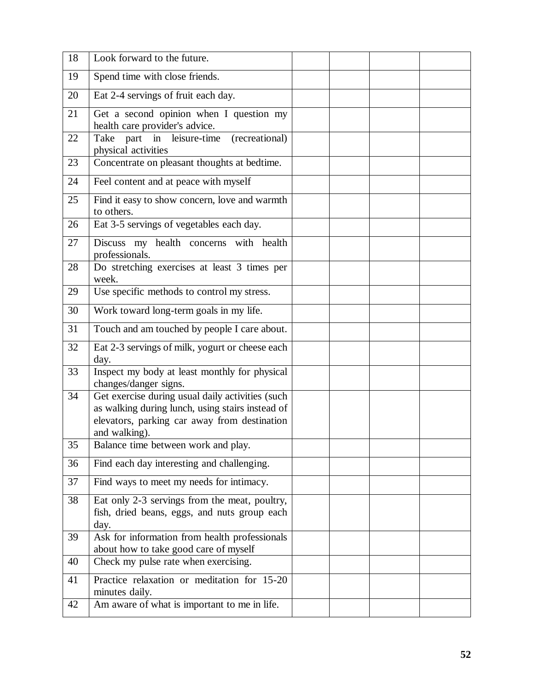| 18 | Look forward to the future.                                                                                                                                           |  |  |
|----|-----------------------------------------------------------------------------------------------------------------------------------------------------------------------|--|--|
|    |                                                                                                                                                                       |  |  |
| 19 | Spend time with close friends.                                                                                                                                        |  |  |
| 20 | Eat 2-4 servings of fruit each day.                                                                                                                                   |  |  |
| 21 | Get a second opinion when I question my<br>health care provider's advice.                                                                                             |  |  |
| 22 | Take part in leisure-time<br>(recreational)<br>physical activities                                                                                                    |  |  |
| 23 | Concentrate on pleasant thoughts at bedtime.                                                                                                                          |  |  |
| 24 | Feel content and at peace with myself                                                                                                                                 |  |  |
| 25 | Find it easy to show concern, love and warmth<br>to others.                                                                                                           |  |  |
| 26 | Eat 3-5 servings of vegetables each day.                                                                                                                              |  |  |
| 27 | Discuss my health concerns with health<br>professionals.                                                                                                              |  |  |
| 28 | Do stretching exercises at least 3 times per<br>week.                                                                                                                 |  |  |
| 29 | Use specific methods to control my stress.                                                                                                                            |  |  |
| 30 | Work toward long-term goals in my life.                                                                                                                               |  |  |
| 31 | Touch and am touched by people I care about.                                                                                                                          |  |  |
| 32 | Eat 2-3 servings of milk, yogurt or cheese each<br>day.                                                                                                               |  |  |
| 33 | Inspect my body at least monthly for physical<br>changes/danger signs.                                                                                                |  |  |
| 34 | Get exercise during usual daily activities (such<br>as walking during lunch, using stairs instead of<br>elevators, parking car away from destination<br>and walking). |  |  |
| 35 | Balance time between work and play.                                                                                                                                   |  |  |
| 36 | Find each day interesting and challenging.                                                                                                                            |  |  |
| 37 | Find ways to meet my needs for intimacy.                                                                                                                              |  |  |
| 38 | Eat only 2-3 servings from the meat, poultry,<br>fish, dried beans, eggs, and nuts group each<br>day.                                                                 |  |  |
| 39 | Ask for information from health professionals<br>about how to take good care of myself                                                                                |  |  |
| 40 | Check my pulse rate when exercising.                                                                                                                                  |  |  |
| 41 | Practice relaxation or meditation for 15-20<br>minutes daily.                                                                                                         |  |  |
| 42 | Am aware of what is important to me in life.                                                                                                                          |  |  |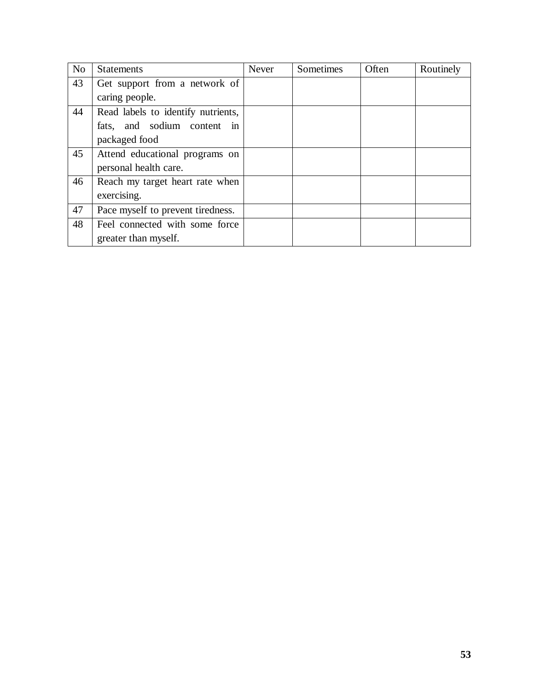| N <sub>o</sub> | <b>Statements</b>                  | <b>Never</b> | Sometimes | Often | Routinely |
|----------------|------------------------------------|--------------|-----------|-------|-----------|
| 43             | Get support from a network of      |              |           |       |           |
|                | caring people.                     |              |           |       |           |
| 44             | Read labels to identify nutrients, |              |           |       |           |
|                | fats, and sodium content in        |              |           |       |           |
|                | packaged food                      |              |           |       |           |
| 45             | Attend educational programs on     |              |           |       |           |
|                | personal health care.              |              |           |       |           |
| 46             | Reach my target heart rate when    |              |           |       |           |
|                | exercising.                        |              |           |       |           |
| 47             | Pace myself to prevent tiredness.  |              |           |       |           |
| 48             | Feel connected with some force     |              |           |       |           |
|                | greater than myself.               |              |           |       |           |